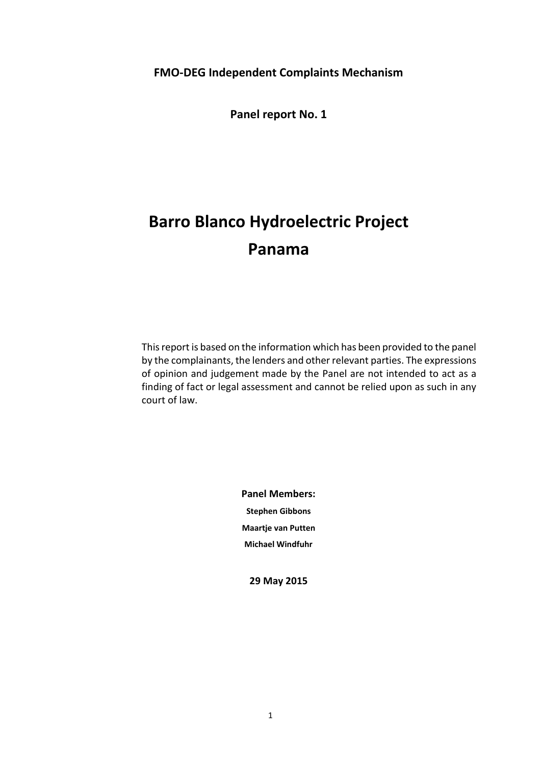**Panel report No. 1**

# **Barro Blanco Hydroelectric Project Panama**

This report is based on the information which has been provided to the panel by the complainants, the lenders and other relevant parties. The expressions of opinion and judgement made by the Panel are not intended to act as a finding of fact or legal assessment and cannot be relied upon as such in any court of law.

> **Panel Members: Stephen Gibbons Maartje van Putten Michael Windfuhr**

**29 May 2015**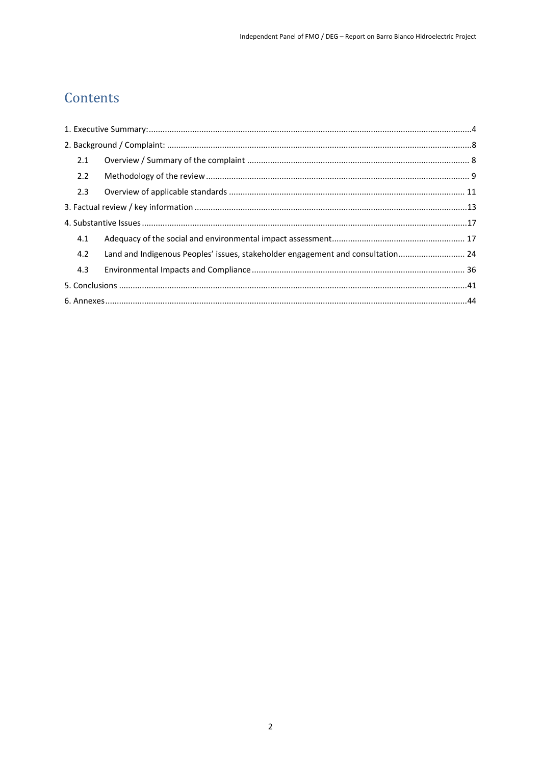# Contents

| 2.1                                                                                    |  |  |
|----------------------------------------------------------------------------------------|--|--|
| 2.2                                                                                    |  |  |
| 2.3                                                                                    |  |  |
|                                                                                        |  |  |
|                                                                                        |  |  |
| 4.1                                                                                    |  |  |
| Land and Indigenous Peoples' issues, stakeholder engagement and consultation 24<br>4.2 |  |  |
| 4.3                                                                                    |  |  |
|                                                                                        |  |  |
|                                                                                        |  |  |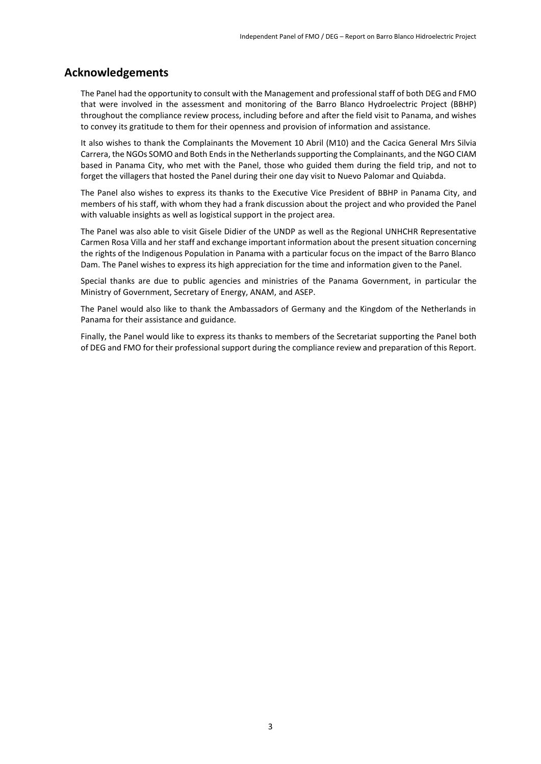### **Acknowledgements**

The Panel had the opportunity to consult with the Management and professional staff of both DEG and FMO that were involved in the assessment and monitoring of the Barro Blanco Hydroelectric Project (BBHP) throughout the compliance review process, including before and after the field visit to Panama, and wishes to convey its gratitude to them for their openness and provision of information and assistance.

It also wishes to thank the Complainants the Movement 10 Abril (M10) and the Cacica General Mrs Silvia Carrera, the NGOs SOMO and Both Endsin the Netherlands supporting the Complainants, and the NGO CIAM based in Panama City, who met with the Panel, those who guided them during the field trip, and not to forget the villagers that hosted the Panel during their one day visit to Nuevo Palomar and Quiabda.

The Panel also wishes to express its thanks to the Executive Vice President of BBHP in Panama City, and members of his staff, with whom they had a frank discussion about the project and who provided the Panel with valuable insights as well as logistical support in the project area.

The Panel was also able to visit Gisele Didier of the UNDP as well as the Regional UNHCHR Representative Carmen Rosa Villa and her staff and exchange important information about the present situation concerning the rights of the Indigenous Population in Panama with a particular focus on the impact of the Barro Blanco Dam. The Panel wishes to express its high appreciation for the time and information given to the Panel.

Special thanks are due to public agencies and ministries of the Panama Government, in particular the Ministry of Government, Secretary of Energy, ANAM, and ASEP.

The Panel would also like to thank the Ambassadors of Germany and the Kingdom of the Netherlands in Panama for their assistance and guidance.

Finally, the Panel would like to express its thanks to members of the Secretariat supporting the Panel both of DEG and FMO for their professional support during the compliance review and preparation of this Report.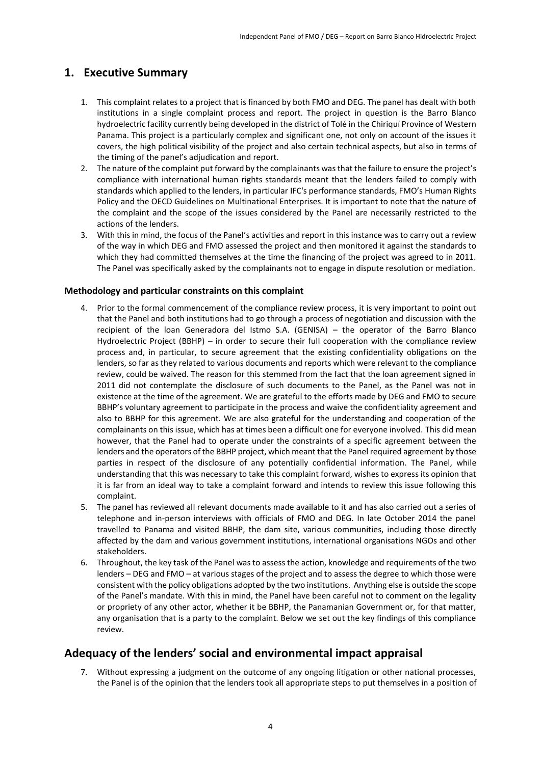### <span id="page-3-0"></span>**1. Executive Summary**

- 1. This complaint relates to a project that is financed by both FMO and DEG. The panel has dealt with both institutions in a single complaint process and report. The project in question is the Barro Blanco hydroelectric facility currently being developed in the district of Tolé in the Chiriquí Province of Western Panama. This project is a particularly complex and significant one, not only on account of the issues it covers, the high political visibility of the project and also certain technical aspects, but also in terms of the timing of the panel's adjudication and report.
- 2. The nature of the complaint put forward by the complainants was that the failure to ensure the project's compliance with international human rights standards meant that the lenders failed to comply with standards which applied to the lenders, in particular IFC's performance standards, FMO's Human Rights Policy and the OECD Guidelines on Multinational Enterprises. It is important to note that the nature of the complaint and the scope of the issues considered by the Panel are necessarily restricted to the actions of the lenders.
- 3. With this in mind, the focus of the Panel's activities and report in this instance was to carry out a review of the way in which DEG and FMO assessed the project and then monitored it against the standards to which they had committed themselves at the time the financing of the project was agreed to in 2011. The Panel was specifically asked by the complainants not to engage in dispute resolution or mediation.

#### **Methodology and particular constraints on this complaint**

- 4. Prior to the formal commencement of the compliance review process, it is very important to point out that the Panel and both institutions had to go through a process of negotiation and discussion with the recipient of the loan Generadora del Istmo S.A. (GENISA) – the operator of the Barro Blanco Hydroelectric Project (BBHP) – in order to secure their full cooperation with the compliance review process and, in particular, to secure agreement that the existing confidentiality obligations on the lenders, so far as they related to various documents and reports which were relevant to the compliance review, could be waived. The reason for this stemmed from the fact that the loan agreement signed in 2011 did not contemplate the disclosure of such documents to the Panel, as the Panel was not in existence at the time of the agreement. We are grateful to the efforts made by DEG and FMO to secure BBHP's voluntary agreement to participate in the process and waive the confidentiality agreement and also to BBHP for this agreement. We are also grateful for the understanding and cooperation of the complainants on this issue, which has at times been a difficult one for everyone involved. This did mean however, that the Panel had to operate under the constraints of a specific agreement between the lenders and the operators of the BBHP project, which meant that the Panel required agreement by those parties in respect of the disclosure of any potentially confidential information. The Panel, while understanding that this was necessary to take this complaint forward, wishes to express its opinion that it is far from an ideal way to take a complaint forward and intends to review this issue following this complaint.
- 5. The panel has reviewed all relevant documents made available to it and has also carried out a series of telephone and in-person interviews with officials of FMO and DEG. In late October 2014 the panel travelled to Panama and visited BBHP, the dam site, various communities, including those directly affected by the dam and various government institutions, international organisations NGOs and other stakeholders.
- 6. Throughout, the key task of the Panel was to assess the action, knowledge and requirements of the two lenders – DEG and FMO – at various stages of the project and to assess the degree to which those were consistent with the policy obligations adopted by the two institutions. Anything else is outside the scope of the Panel's mandate. With this in mind, the Panel have been careful not to comment on the legality or propriety of any other actor, whether it be BBHP, the Panamanian Government or, for that matter, any organisation that is a party to the complaint. Below we set out the key findings of this compliance review.

### **Adequacy of the lenders' social and environmental impact appraisal**

7. Without expressing a judgment on the outcome of any ongoing litigation or other national processes, the Panel is of the opinion that the lenders took all appropriate steps to put themselves in a position of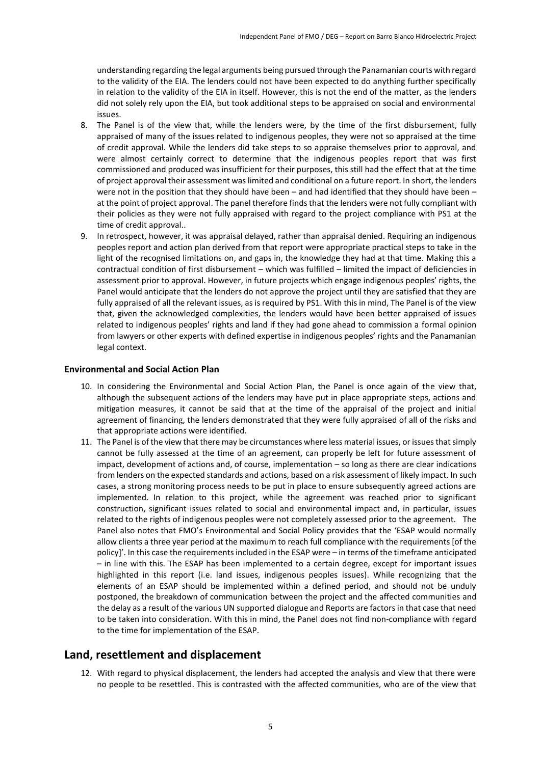understanding regarding the legal arguments being pursued through the Panamanian courts with regard to the validity of the EIA. The lenders could not have been expected to do anything further specifically in relation to the validity of the EIA in itself. However, this is not the end of the matter, as the lenders did not solely rely upon the EIA, but took additional steps to be appraised on social and environmental issues.

- 8. The Panel is of the view that, while the lenders were, by the time of the first disbursement, fully appraised of many of the issues related to indigenous peoples, they were not so appraised at the time of credit approval. While the lenders did take steps to so appraise themselves prior to approval, and were almost certainly correct to determine that the indigenous peoples report that was first commissioned and produced was insufficient for their purposes, this still had the effect that at the time of project approval their assessment was limited and conditional on a future report. In short, the lenders were not in the position that they should have been – and had identified that they should have been – at the point of project approval. The panel therefore finds that the lenders were not fully compliant with their policies as they were not fully appraised with regard to the project compliance with PS1 at the time of credit approval..
- 9. In retrospect, however, it was appraisal delayed, rather than appraisal denied. Requiring an indigenous peoples report and action plan derived from that report were appropriate practical steps to take in the light of the recognised limitations on, and gaps in, the knowledge they had at that time. Making this a contractual condition of first disbursement – which was fulfilled – limited the impact of deficiencies in assessment prior to approval. However, in future projects which engage indigenous peoples' rights, the Panel would anticipate that the lenders do not approve the project until they are satisfied that they are fully appraised of all the relevant issues, as is required by PS1. With this in mind, The Panel is of the view that, given the acknowledged complexities, the lenders would have been better appraised of issues related to indigenous peoples' rights and land if they had gone ahead to commission a formal opinion from lawyers or other experts with defined expertise in indigenous peoples' rights and the Panamanian legal context.

#### **Environmental and Social Action Plan**

- 10. In considering the Environmental and Social Action Plan, the Panel is once again of the view that, although the subsequent actions of the lenders may have put in place appropriate steps, actions and mitigation measures, it cannot be said that at the time of the appraisal of the project and initial agreement of financing, the lenders demonstrated that they were fully appraised of all of the risks and that appropriate actions were identified.
- 11. The Panel is of the view that there may be circumstances where less material issues, or issues that simply cannot be fully assessed at the time of an agreement, can properly be left for future assessment of impact, development of actions and, of course, implementation – so long as there are clear indications from lenders on the expected standards and actions, based on a risk assessment of likely impact. In such cases, a strong monitoring process needs to be put in place to ensure subsequently agreed actions are implemented. In relation to this project, while the agreement was reached prior to significant construction, significant issues related to social and environmental impact and, in particular, issues related to the rights of indigenous peoples were not completely assessed prior to the agreement. The Panel also notes that FMO's Environmental and Social Policy provides that the 'ESAP would normally allow clients a three year period at the maximum to reach full compliance with the requirements [of the policy]'. In this case the requirements included in the ESAP were – in terms of the timeframe anticipated – in line with this. The ESAP has been implemented to a certain degree, except for important issues highlighted in this report (i.e. land issues, indigenous peoples issues). While recognizing that the elements of an ESAP should be implemented within a defined period, and should not be unduly postponed, the breakdown of communication between the project and the affected communities and the delay as a result of the various UN supported dialogue and Reports are factors in that case that need to be taken into consideration. With this in mind, the Panel does not find non-compliance with regard to the time for implementation of the ESAP.

### **Land, resettlement and displacement**

12. With regard to physical displacement, the lenders had accepted the analysis and view that there were no people to be resettled. This is contrasted with the affected communities, who are of the view that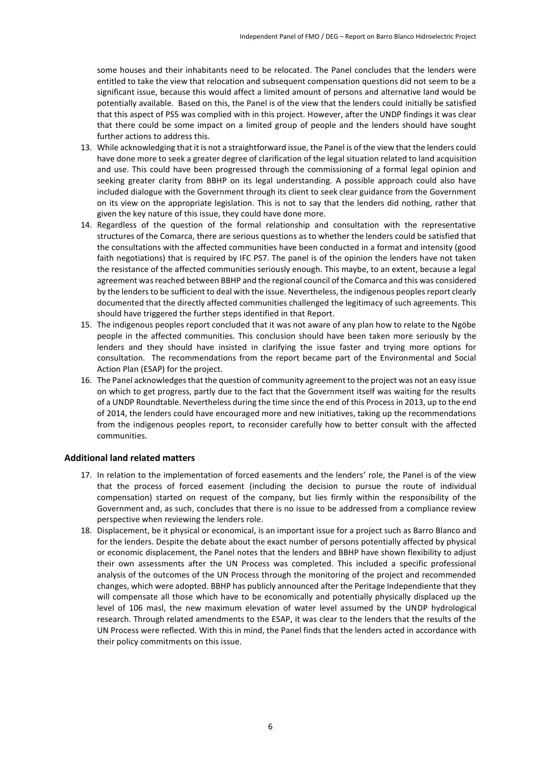some houses and their inhabitants need to be relocated. The Panel concludes that the lenders were entitled to take the view that relocation and subsequent compensation questions did not seem to be a significant issue, because this would affect a limited amount of persons and alternative land would be potentially available. Based on this, the Panel is of the view that the lenders could initially be satisfied that this aspect of PS5 was complied with in this project. However, after the UNDP findings it was clear that there could be some impact on a limited group of people and the lenders should have sought further actions to address this.

- 13. While acknowledging that it is not a straightforward issue, the Panel is of the view that the lenders could have done more to seek a greater degree of clarification of the legal situation related to land acquisition and use. This could have been progressed through the commissioning of a formal legal opinion and seeking greater clarity from BBHP on its legal understanding. A possible approach could also have included dialogue with the Government through its client to seek clear guidance from the Government on its view on the appropriate legislation. This is not to say that the lenders did nothing, rather that given the key nature of this issue, they could have done more.
- 14. Regardless of the question of the formal relationship and consultation with the representative structures of the Comarca, there are serious questions as to whether the lenders could be satisfied that the consultations with the affected communities have been conducted in a format and intensity (good faith negotiations) that is required by IFC PS7. The panel is of the opinion the lenders have not taken the resistance of the affected communities seriously enough. This maybe, to an extent, because a legal agreement was reached between BBHP and the regional council of the Comarca and this was considered by the lenders to be sufficient to deal with the issue. Nevertheless, the indigenous peoples report clearly documented that the directly affected communities challenged the legitimacy of such agreements. This should have triggered the further steps identified in that Report.
- 15. The indigenous peoples report concluded that it was not aware of any plan how to relate to the Ngöbe people in the affected communities. This conclusion should have been taken more seriously by the lenders and they should have insisted in clarifying the issue faster and trying more options for consultation. The recommendations from the report became part of the Environmental and Social Action Plan (ESAP) for the project.
- 16. The Panel acknowledges that the question of community agreement to the project was not an easy issue on which to get progress, partly due to the fact that the Government itself was waiting for the results of a UNDP Roundtable. Nevertheless during the time since the end of this Process in 2013, up to the end of 2014, the lenders could have encouraged more and new initiatives, taking up the recommendations from the indigenous peoples report, to reconsider carefully how to better consult with the affected communities.

#### **Additional land related matters**

- 17. In relation to the implementation of forced easements and the lenders' role, the Panel is of the view that the process of forced easement (including the decision to pursue the route of individual compensation) started on request of the company, but lies firmly within the responsibility of the Government and, as such, concludes that there is no issue to be addressed from a compliance review perspective when reviewing the lenders role.
- 18. Displacement, be it physical or economical, is an important issue for a project such as Barro Blanco and for the lenders. Despite the debate about the exact number of persons potentially affected by physical or economic displacement, the Panel notes that the lenders and BBHP have shown flexibility to adjust their own assessments after the UN Process was completed. This included a specific professional analysis of the outcomes of the UN Process through the monitoring of the project and recommended changes, which were adopted. BBHP has publicly announced after the Peritage Independiente that they will compensate all those which have to be economically and potentially physically displaced up the level of 106 masl, the new maximum elevation of water level assumed by the UNDP hydrological research. Through related amendments to the ESAP, it was clear to the lenders that the results of the UN Process were reflected. With this in mind, the Panel finds that the lenders acted in accordance with their policy commitments on this issue.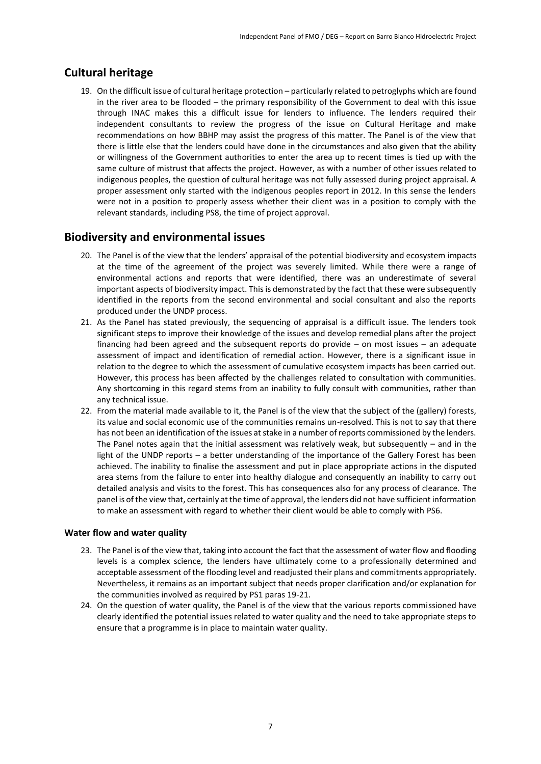### **Cultural heritage**

19. On the difficult issue of cultural heritage protection – particularly related to petroglyphs which are found in the river area to be flooded – the primary responsibility of the Government to deal with this issue through INAC makes this a difficult issue for lenders to influence. The lenders required their independent consultants to review the progress of the issue on Cultural Heritage and make recommendations on how BBHP may assist the progress of this matter. The Panel is of the view that there is little else that the lenders could have done in the circumstances and also given that the ability or willingness of the Government authorities to enter the area up to recent times is tied up with the same culture of mistrust that affects the project. However, as with a number of other issues related to indigenous peoples, the question of cultural heritage was not fully assessed during project appraisal. A proper assessment only started with the indigenous peoples report in 2012. In this sense the lenders were not in a position to properly assess whether their client was in a position to comply with the relevant standards, including PS8, the time of project approval.

### **Biodiversity and environmental issues**

- 20. The Panel is of the view that the lenders' appraisal of the potential biodiversity and ecosystem impacts at the time of the agreement of the project was severely limited. While there were a range of environmental actions and reports that were identified, there was an underestimate of several important aspects of biodiversity impact. This is demonstrated by the fact that these were subsequently identified in the reports from the second environmental and social consultant and also the reports produced under the UNDP process.
- 21. As the Panel has stated previously, the sequencing of appraisal is a difficult issue. The lenders took significant steps to improve their knowledge of the issues and develop remedial plans after the project financing had been agreed and the subsequent reports do provide – on most issues – an adequate assessment of impact and identification of remedial action. However, there is a significant issue in relation to the degree to which the assessment of cumulative ecosystem impacts has been carried out. However, this process has been affected by the challenges related to consultation with communities. Any shortcoming in this regard stems from an inability to fully consult with communities, rather than any technical issue.
- 22. From the material made available to it, the Panel is of the view that the subject of the (gallery) forests, its value and social economic use of the communities remains un-resolved. This is not to say that there has not been an identification of the issues at stake in a number of reports commissioned by the lenders. The Panel notes again that the initial assessment was relatively weak, but subsequently – and in the light of the UNDP reports – a better understanding of the importance of the Gallery Forest has been achieved. The inability to finalise the assessment and put in place appropriate actions in the disputed area stems from the failure to enter into healthy dialogue and consequently an inability to carry out detailed analysis and visits to the forest. This has consequences also for any process of clearance. The panel is of the view that, certainly at the time of approval, the lenders did not have sufficient information to make an assessment with regard to whether their client would be able to comply with PS6.

#### **Water flow and water quality**

- 23. The Panel is of the view that, taking into account the fact that the assessment of water flow and flooding levels is a complex science, the lenders have ultimately come to a professionally determined and acceptable assessment of the flooding level and readjusted their plans and commitments appropriately. Nevertheless, it remains as an important subject that needs proper clarification and/or explanation for the communities involved as required by PS1 paras 19-21.
- 24. On the question of water quality, the Panel is of the view that the various reports commissioned have clearly identified the potential issues related to water quality and the need to take appropriate steps to ensure that a programme is in place to maintain water quality.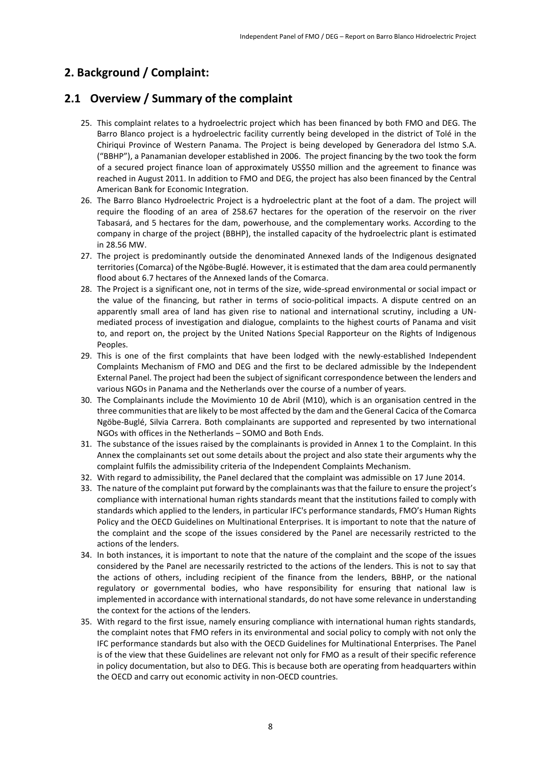### <span id="page-7-0"></span>**2. Background / Complaint:**

### <span id="page-7-1"></span>**2.1 Overview / Summary of the complaint**

- 25. This complaint relates to a hydroelectric project which has been financed by both FMO and DEG. The Barro Blanco project is a hydroelectric facility currently being developed in the district of Tolé in the Chiriqui Province of Western Panama. The Project is being developed by Generadora del Istmo S.A. ("BBHP"), a Panamanian developer established in 2006. The project financing by the two took the form of a secured project finance loan of approximately US\$50 million and the agreement to finance was reached in August 2011. In addition to FMO and DEG, the project has also been financed by the Central American Bank for Economic Integration.
- 26. The Barro Blanco Hydroelectric Project is a hydroelectric plant at the foot of a dam. The project will require the flooding of an area of 258.67 hectares for the operation of the reservoir on the river Tabasará, and 5 hectares for the dam, powerhouse, and the complementary works. According to the company in charge of the project (BBHP), the installed capacity of the hydroelectric plant is estimated in 28.56 MW.
- 27. The project is predominantly outside the denominated Annexed lands of the Indigenous designated territories (Comarca) of the Ngöbe-Buglé. However, it is estimated that the dam area could permanently flood about 6.7 hectares of the Annexed lands of the Comarca.
- 28. The Project is a significant one, not in terms of the size, wide-spread environmental or social impact or the value of the financing, but rather in terms of socio-political impacts. A dispute centred on an apparently small area of land has given rise to national and international scrutiny, including a UNmediated process of investigation and dialogue, complaints to the highest courts of Panama and visit to, and report on, the project by the United Nations Special Rapporteur on the Rights of Indigenous Peoples.
- 29. This is one of the first complaints that have been lodged with the newly-established Independent Complaints Mechanism of FMO and DEG and the first to be declared admissible by the Independent External Panel. The project had been the subject of significant correspondence between the lenders and various NGOs in Panama and the Netherlands over the course of a number of years.
- 30. The Complainants include the Movimiento 10 de Abril (M10), which is an organisation centred in the three communities that are likely to be most affected by the dam and the General Cacica of the Comarca Ngöbe-Buglé, Silvia Carrera. Both complainants are supported and represented by two international NGOs with offices in the Netherlands – SOMO and Both Ends.
- 31. The substance of the issues raised by the complainants is provided in Annex 1 to the Complaint. In this Annex the complainants set out some details about the project and also state their arguments why the complaint fulfils the admissibility criteria of the Independent Complaints Mechanism.
- 32. With regard to admissibility, the Panel declared that the complaint was admissible on 17 June 2014.
- 33. The nature of the complaint put forward by the complainants was that the failure to ensure the project's compliance with international human rights standards meant that the institutions failed to comply with standards which applied to the lenders, in particular IFC's performance standards, FMO's Human Rights Policy and the OECD Guidelines on Multinational Enterprises. It is important to note that the nature of the complaint and the scope of the issues considered by the Panel are necessarily restricted to the actions of the lenders.
- 34. In both instances, it is important to note that the nature of the complaint and the scope of the issues considered by the Panel are necessarily restricted to the actions of the lenders. This is not to say that the actions of others, including recipient of the finance from the lenders, BBHP, or the national regulatory or governmental bodies, who have responsibility for ensuring that national law is implemented in accordance with international standards, do not have some relevance in understanding the context for the actions of the lenders.
- 35. With regard to the first issue, namely ensuring compliance with international human rights standards, the complaint notes that FMO refers in its environmental and social policy to comply with not only the IFC performance standards but also with the OECD Guidelines for Multinational Enterprises. The Panel is of the view that these Guidelines are relevant not only for FMO as a result of their specific reference in policy documentation, but also to DEG. This is because both are operating from headquarters within the OECD and carry out economic activity in non-OECD countries.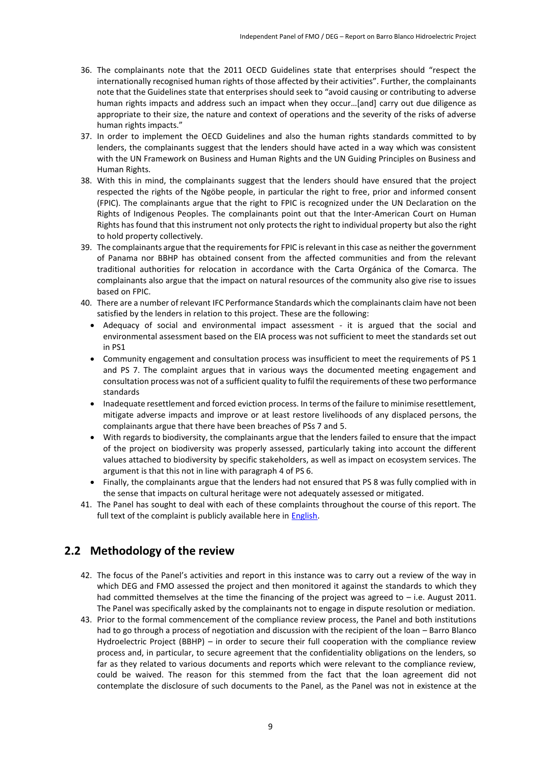- 36. The complainants note that the 2011 OECD Guidelines state that enterprises should "respect the internationally recognised human rights of those affected by their activities". Further, the complainants note that the Guidelines state that enterprises should seek to "avoid causing or contributing to adverse human rights impacts and address such an impact when they occur…[and] carry out due diligence as appropriate to their size, the nature and context of operations and the severity of the risks of adverse human rights impacts."
- 37. In order to implement the OECD Guidelines and also the human rights standards committed to by lenders, the complainants suggest that the lenders should have acted in a way which was consistent with the UN Framework on Business and Human Rights and the UN Guiding Principles on Business and Human Rights.
- 38. With this in mind, the complainants suggest that the lenders should have ensured that the project respected the rights of the Ngöbe people, in particular the right to free, prior and informed consent (FPIC). The complainants argue that the right to FPIC is recognized under the UN Declaration on the Rights of Indigenous Peoples. The complainants point out that the Inter-American Court on Human Rights has found that this instrument not only protects the right to individual property but also the right to hold property collectively.
- 39. The complainants argue that the requirements for FPIC is relevant in this case as neither the government of Panama nor BBHP has obtained consent from the affected communities and from the relevant traditional authorities for relocation in accordance with the Carta Orgánica of the Comarca. The complainants also argue that the impact on natural resources of the community also give rise to issues based on FPIC.
- 40. There are a number of relevant IFC Performance Standards which the complainants claim have not been satisfied by the lenders in relation to this project. These are the following:
	- Adequacy of social and environmental impact assessment it is argued that the social and environmental assessment based on the EIA process was not sufficient to meet the standards set out in PS1
	- Community engagement and consultation process was insufficient to meet the requirements of PS 1 and PS 7. The complaint argues that in various ways the documented meeting engagement and consultation process was not of a sufficient quality to fulfil the requirements of these two performance standards
	- Inadequate resettlement and forced eviction process. In terms of the failure to minimise resettlement, mitigate adverse impacts and improve or at least restore livelihoods of any displaced persons, the complainants argue that there have been breaches of PSs 7 and 5.
	- With regards to biodiversity, the complainants argue that the lenders failed to ensure that the impact of the project on biodiversity was properly assessed, particularly taking into account the different values attached to biodiversity by specific stakeholders, as well as impact on ecosystem services. The argument is that this not in line with paragraph 4 of PS 6.
	- Finally, the complainants argue that the lenders had not ensured that PS 8 was fully complied with in the sense that impacts on cultural heritage were not adequately assessed or mitigated.
- 41. The Panel has sought to deal with each of these complaints throughout the course of this report. The full text of the complaint is publicly available here i[n English.](http://grievancemechanisms.org/attachments/BarroBlancocomplaintanalysisofpoliciesandprocedures.pdf)

### <span id="page-8-0"></span>**2.2 Methodology of the review**

- 42. The focus of the Panel's activities and report in this instance was to carry out a review of the way in which DEG and FMO assessed the project and then monitored it against the standards to which they had committed themselves at the time the financing of the project was agreed to  $-$  i.e. August 2011. The Panel was specifically asked by the complainants not to engage in dispute resolution or mediation.
- 43. Prior to the formal commencement of the compliance review process, the Panel and both institutions had to go through a process of negotiation and discussion with the recipient of the loan – Barro Blanco Hydroelectric Project (BBHP) – in order to secure their full cooperation with the compliance review process and, in particular, to secure agreement that the confidentiality obligations on the lenders, so far as they related to various documents and reports which were relevant to the compliance review, could be waived. The reason for this stemmed from the fact that the loan agreement did not contemplate the disclosure of such documents to the Panel, as the Panel was not in existence at the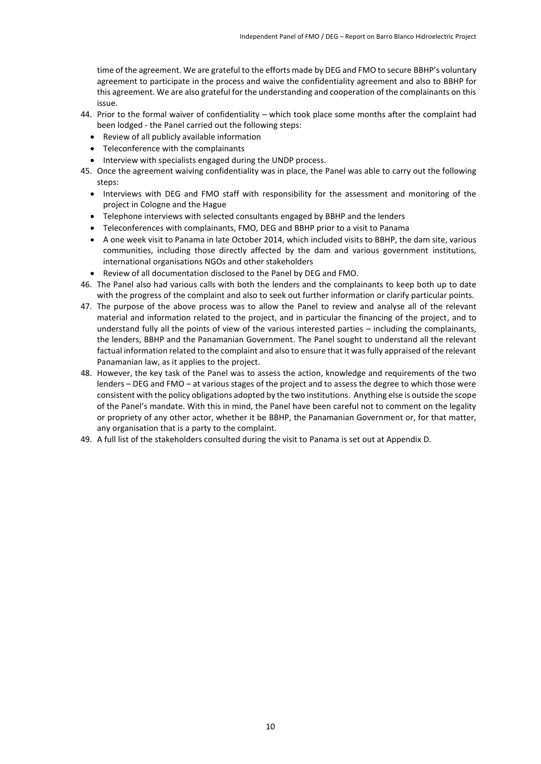time of the agreement. We are grateful to the efforts made by DEG and FMO to secure BBHP's voluntary agreement to participate in the process and waive the confidentiality agreement and also to BBHP for this agreement. We are also grateful for the understanding and cooperation of the complainants on this issue.

- 44. Prior to the formal waiver of confidentiality which took place some months after the complaint had been lodged - the Panel carried out the following steps:
	- Review of all publicly available information
	- Teleconference with the complainants
	- Interview with specialists engaged during the UNDP process.
- 45. Once the agreement waiving confidentiality was in place, the Panel was able to carry out the following steps:
	- Interviews with DEG and FMO staff with responsibility for the assessment and monitoring of the project in Cologne and the Hague
	- Telephone interviews with selected consultants engaged by BBHP and the lenders
	- Teleconferences with complainants, FMO, DEG and BBHP prior to a visit to Panama
	- A one week visit to Panama in late October 2014, which included visits to BBHP, the dam site, various communities, including those directly affected by the dam and various government institutions, international organisations NGOs and other stakeholders
	- Review of all documentation disclosed to the Panel by DEG and FMO.
- 46. The Panel also had various calls with both the lenders and the complainants to keep both up to date with the progress of the complaint and also to seek out further information or clarify particular points.
- 47. The purpose of the above process was to allow the Panel to review and analyse all of the relevant material and information related to the project, and in particular the financing of the project, and to understand fully all the points of view of the various interested parties – including the complainants, the lenders, BBHP and the Panamanian Government. The Panel sought to understand all the relevant factual information related to the complaint and also to ensure that it was fully appraised of the relevant Panamanian law, as it applies to the project.
- 48. However, the key task of the Panel was to assess the action, knowledge and requirements of the two lenders – DEG and FMO – at various stages of the project and to assess the degree to which those were consistent with the policy obligations adopted by the two institutions. Anything else is outside the scope of the Panel's mandate. With this in mind, the Panel have been careful not to comment on the legality or propriety of any other actor, whether it be BBHP, the Panamanian Government or, for that matter, any organisation that is a party to the complaint.
- 49. A full list of the stakeholders consulted during the visit to Panama is set out at Appendix D.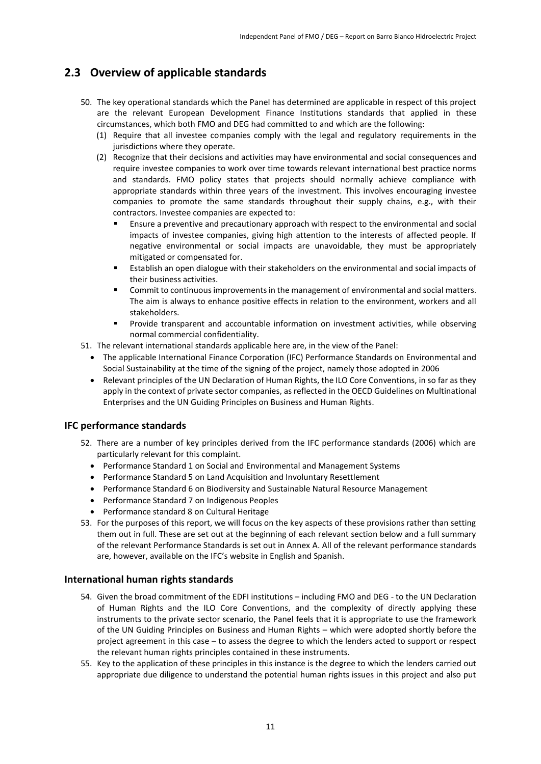### <span id="page-10-0"></span>**2.3 Overview of applicable standards**

- 50. The key operational standards which the Panel has determined are applicable in respect of this project are the relevant European Development Finance Institutions standards that applied in these circumstances, which both FMO and DEG had committed to and which are the following:
	- (1) Require that all investee companies comply with the legal and regulatory requirements in the jurisdictions where they operate.
	- (2) Recognize that their decisions and activities may have environmental and social consequences and require investee companies to work over time towards relevant international best practice norms and standards. FMO policy states that projects should normally achieve compliance with appropriate standards within three years of the investment. This involves encouraging investee companies to promote the same standards throughout their supply chains, e.g., with their contractors. Investee companies are expected to:
		- Ensure a preventive and precautionary approach with respect to the environmental and social impacts of investee companies, giving high attention to the interests of affected people. If negative environmental or social impacts are unavoidable, they must be appropriately mitigated or compensated for.
		- Establish an open dialogue with their stakeholders on the environmental and social impacts of their business activities.
		- Commit to continuous improvements in the management of environmental and social matters. The aim is always to enhance positive effects in relation to the environment, workers and all stakeholders.
		- Provide transparent and accountable information on investment activities, while observing normal commercial confidentiality.
- 51. The relevant international standards applicable here are, in the view of the Panel:
	- The applicable International Finance Corporation (IFC) Performance Standards on Environmental and Social Sustainability at the time of the signing of the project, namely those adopted in 2006
	- Relevant principles of the UN Declaration of Human Rights, the ILO Core Conventions, in so far as they apply in the context of private sector companies, as reflected in the OECD Guidelines on Multinational Enterprises and the UN Guiding Principles on Business and Human Rights.

#### **IFC performance standards**

- 52. There are a number of key principles derived from the IFC performance standards (2006) which are particularly relevant for this complaint.
	- Performance Standard 1 on Social and Environmental and Management Systems
	- Performance Standard 5 on Land Acquisition and Involuntary Resettlement
	- Performance Standard 6 on Biodiversity and Sustainable Natural Resource Management
	- Performance Standard 7 on Indigenous Peoples
	- Performance standard 8 on Cultural Heritage
- 53. For the purposes of this report, we will focus on the key aspects of these provisions rather than setting them out in full. These are set out at the beginning of each relevant section below and a full summary of the relevant Performance Standards is set out in Annex A. All of the relevant performance standards are, however, available on the IFC's website in English and Spanish.

#### **International human rights standards**

- 54. Given the broad commitment of the EDFI institutions including FMO and DEG to the UN Declaration of Human Rights and the ILO Core Conventions, and the complexity of directly applying these instruments to the private sector scenario, the Panel feels that it is appropriate to use the framework of the UN Guiding Principles on Business and Human Rights – which were adopted shortly before the project agreement in this case – to assess the degree to which the lenders acted to support or respect the relevant human rights principles contained in these instruments.
- 55. Key to the application of these principles in this instance is the degree to which the lenders carried out appropriate due diligence to understand the potential human rights issues in this project and also put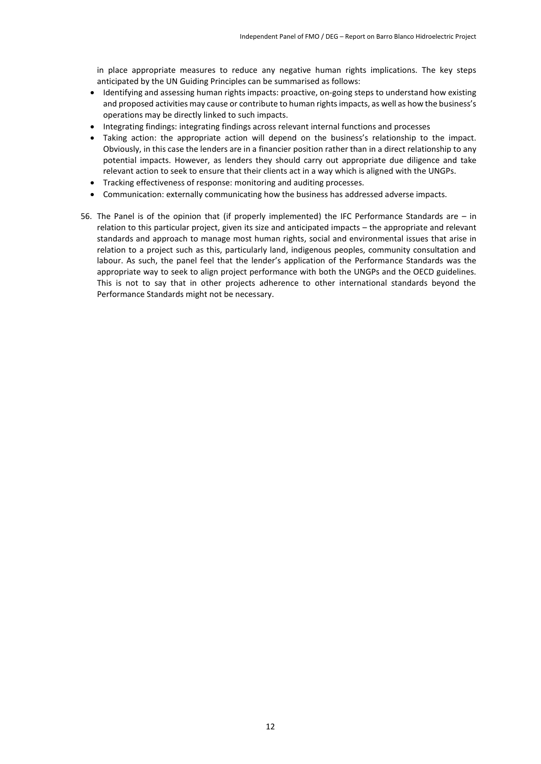in place appropriate measures to reduce any negative human rights implications. The key steps anticipated by the UN Guiding Principles can be summarised as follows:

- Identifying and assessing human rights impacts: proactive, on-going steps to understand how existing and proposed activities may cause or contribute to human rights impacts, as well as how the business's operations may be directly linked to such impacts.
- Integrating findings: integrating findings across relevant internal functions and processes
- Taking action: the appropriate action will depend on the business's relationship to the impact. Obviously, in this case the lenders are in a financier position rather than in a direct relationship to any potential impacts. However, as lenders they should carry out appropriate due diligence and take relevant action to seek to ensure that their clients act in a way which is aligned with the UNGPs.
- Tracking effectiveness of response: monitoring and auditing processes.
- Communication: externally communicating how the business has addressed adverse impacts.
- 56. The Panel is of the opinion that (if properly implemented) the IFC Performance Standards are in relation to this particular project, given its size and anticipated impacts – the appropriate and relevant standards and approach to manage most human rights, social and environmental issues that arise in relation to a project such as this, particularly land, indigenous peoples, community consultation and labour. As such, the panel feel that the lender's application of the Performance Standards was the appropriate way to seek to align project performance with both the UNGPs and the OECD guidelines. This is not to say that in other projects adherence to other international standards beyond the Performance Standards might not be necessary.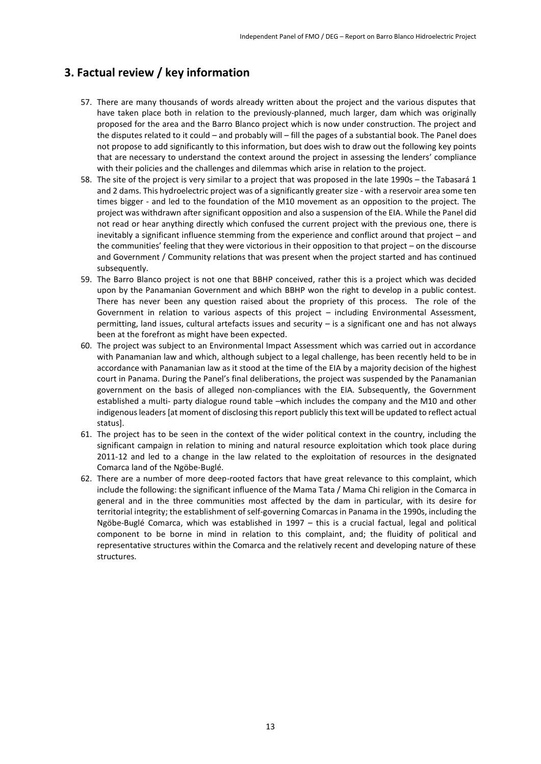### <span id="page-12-0"></span>**3. Factual review / key information**

- 57. There are many thousands of words already written about the project and the various disputes that have taken place both in relation to the previously-planned, much larger, dam which was originally proposed for the area and the Barro Blanco project which is now under construction. The project and the disputes related to it could – and probably will – fill the pages of a substantial book. The Panel does not propose to add significantly to this information, but does wish to draw out the following key points that are necessary to understand the context around the project in assessing the lenders' compliance with their policies and the challenges and dilemmas which arise in relation to the project.
- 58. The site of the project is very similar to a project that was proposed in the late 1990s the Tabasará 1 and 2 dams. This hydroelectric project was of a significantly greater size - with a reservoir area some ten times bigger - and led to the foundation of the M10 movement as an opposition to the project. The project was withdrawn after significant opposition and also a suspension of the EIA. While the Panel did not read or hear anything directly which confused the current project with the previous one, there is inevitably a significant influence stemming from the experience and conflict around that project – and the communities' feeling that they were victorious in their opposition to that project – on the discourse and Government / Community relations that was present when the project started and has continued subsequently.
- 59. The Barro Blanco project is not one that BBHP conceived, rather this is a project which was decided upon by the Panamanian Government and which BBHP won the right to develop in a public contest. There has never been any question raised about the propriety of this process. The role of the Government in relation to various aspects of this project – including Environmental Assessment, permitting, land issues, cultural artefacts issues and security – is a significant one and has not always been at the forefront as might have been expected.
- 60. The project was subject to an Environmental Impact Assessment which was carried out in accordance with Panamanian law and which, although subject to a legal challenge, has been recently held to be in accordance with Panamanian law as it stood at the time of the EIA by a majority decision of the highest court in Panama. During the Panel's final deliberations, the project was suspended by the Panamanian government on the basis of alleged non-compliances with the EIA. Subsequently, the Government established a multi- party dialogue round table –which includes the company and the M10 and other indigenous leaders [at moment of disclosing this report publicly this text will be updated to reflect actual status].
- 61. The project has to be seen in the context of the wider political context in the country, including the significant campaign in relation to mining and natural resource exploitation which took place during 2011-12 and led to a change in the law related to the exploitation of resources in the designated Comarca land of the Ngöbe-Buglé.
- 62. There are a number of more deep-rooted factors that have great relevance to this complaint, which include the following: the significant influence of the Mama Tata / Mama Chi religion in the Comarca in general and in the three communities most affected by the dam in particular, with its desire for territorial integrity; the establishment of self-governing Comarcas in Panama in the 1990s, including the Ngöbe-Buglé Comarca, which was established in 1997 – this is a crucial factual, legal and political component to be borne in mind in relation to this complaint, and; the fluidity of political and representative structures within the Comarca and the relatively recent and developing nature of these structures.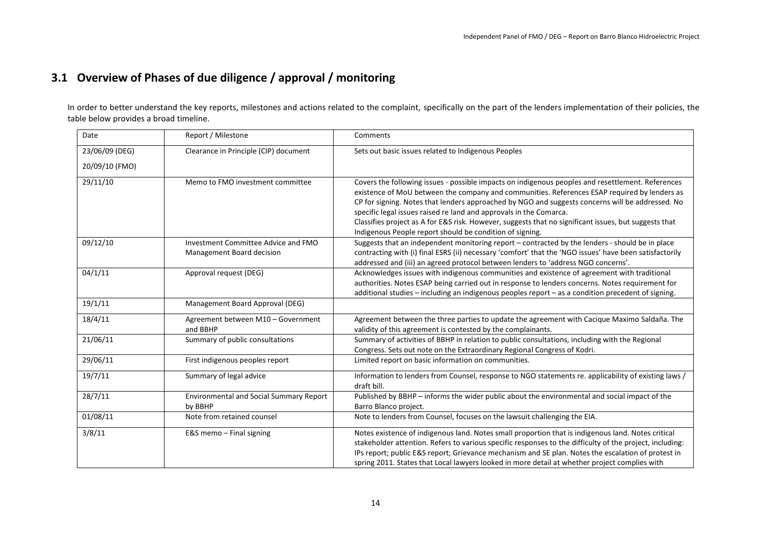# **3.1 Overview of Phases of due diligence / approval / monitoring**

In order to better understand the key reports, milestones and actions related to the complaint, specifically on the part of the lenders implementation of their policies, the table below provides a broad timeline.

| Date           | Report / Milestone                             | Comments                                                                                                                                                                                          |
|----------------|------------------------------------------------|---------------------------------------------------------------------------------------------------------------------------------------------------------------------------------------------------|
| 23/06/09 (DEG) | Clearance in Principle (CIP) document          | Sets out basic issues related to Indigenous Peoples                                                                                                                                               |
| 20/09/10 (FMO) |                                                |                                                                                                                                                                                                   |
|                |                                                |                                                                                                                                                                                                   |
| 29/11/10       | Memo to FMO investment committee               | Covers the following issues - possible impacts on indigenous peoples and resettlement. References<br>existence of MoU between the company and communities. References ESAP required by lenders as |
|                |                                                | CP for signing. Notes that lenders approached by NGO and suggests concerns will be addressed. No                                                                                                  |
|                |                                                | specific legal issues raised re land and approvals in the Comarca.                                                                                                                                |
|                |                                                | Classifies project as A for E&S risk. However, suggests that no significant issues, but suggests that                                                                                             |
|                |                                                | Indigenous People report should be condition of signing.                                                                                                                                          |
| 09/12/10       | Investment Committee Advice and FMO            | Suggests that an independent monitoring report - contracted by the lenders - should be in place                                                                                                   |
|                | <b>Management Board decision</b>               | contracting with (i) final ESRS (ii) necessary 'comfort' that the 'NGO issues' have been satisfactorily                                                                                           |
|                |                                                | addressed and (iii) an agreed protocol between lenders to 'address NGO concerns'.                                                                                                                 |
| 04/1/11        | Approval request (DEG)                         | Acknowledges issues with indigenous communities and existence of agreement with traditional                                                                                                       |
|                |                                                | authorities. Notes ESAP being carried out in response to lenders concerns. Notes requirement for                                                                                                  |
|                |                                                | additional studies - including an indigenous peoples report - as a condition precedent of signing.                                                                                                |
| 19/1/11        | Management Board Approval (DEG)                |                                                                                                                                                                                                   |
| 18/4/11        | Agreement between M10 - Government             | Agreement between the three parties to update the agreement with Cacique Maximo Saldaña. The                                                                                                      |
|                | and BBHP                                       | validity of this agreement is contested by the complainants.                                                                                                                                      |
| 21/06/11       | Summary of public consultations                | Summary of activities of BBHP in relation to public consultations, including with the Regional                                                                                                    |
|                |                                                | Congress. Sets out note on the Extraordinary Regional Congress of Kodri.                                                                                                                          |
| 29/06/11       | First indigenous peoples report                | Limited report on basic information on communities.                                                                                                                                               |
| 19/7/11        | Summary of legal advice                        | Information to lenders from Counsel, response to NGO statements re. applicability of existing laws /                                                                                              |
|                |                                                | draft bill.                                                                                                                                                                                       |
| 28/7/11        | <b>Environmental and Social Summary Report</b> | Published by BBHP – informs the wider public about the environmental and social impact of the                                                                                                     |
|                | by BBHP                                        | Barro Blanco project.                                                                                                                                                                             |
| 01/08/11       | Note from retained counsel                     | Note to lenders from Counsel, focuses on the lawsuit challenging the EIA.                                                                                                                         |
| 3/8/11         | E&S memo - Final signing                       | Notes existence of indigenous land. Notes small proportion that is indigenous land. Notes critical                                                                                                |
|                |                                                | stakeholder attention. Refers to various specific responses to the difficulty of the project, including:                                                                                          |
|                |                                                | IPs report; public E&S report; Grievance mechanism and SE plan. Notes the escalation of protest in                                                                                                |
|                |                                                | spring 2011. States that Local lawyers looked in more detail at whether project complies with                                                                                                     |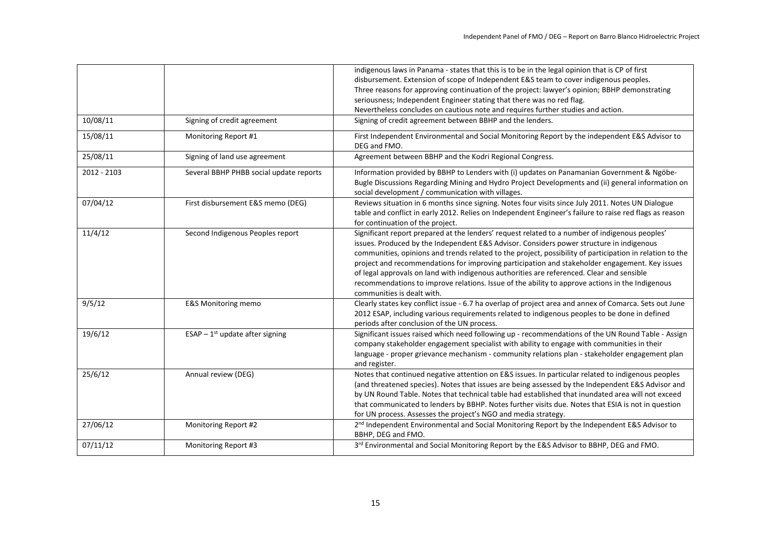|             |                                         | indigenous laws in Panama - states that this is to be in the legal opinion that is CP of first<br>disbursement. Extension of scope of Independent E&S team to cover indigenous peoples.<br>Three reasons for approving continuation of the project: lawyer's opinion; BBHP demonstrating<br>seriousness; Independent Engineer stating that there was no red flag.                                                                                                                                                                                                                                                                      |
|-------------|-----------------------------------------|----------------------------------------------------------------------------------------------------------------------------------------------------------------------------------------------------------------------------------------------------------------------------------------------------------------------------------------------------------------------------------------------------------------------------------------------------------------------------------------------------------------------------------------------------------------------------------------------------------------------------------------|
|             |                                         | Nevertheless concludes on cautious note and requires further studies and action.                                                                                                                                                                                                                                                                                                                                                                                                                                                                                                                                                       |
| 10/08/11    | Signing of credit agreement             | Signing of credit agreement between BBHP and the lenders.                                                                                                                                                                                                                                                                                                                                                                                                                                                                                                                                                                              |
| 15/08/11    | Monitoring Report #1                    | First Independent Environmental and Social Monitoring Report by the independent E&S Advisor to<br>DEG and FMO.                                                                                                                                                                                                                                                                                                                                                                                                                                                                                                                         |
| 25/08/11    | Signing of land use agreement           | Agreement between BBHP and the Kodri Regional Congress.                                                                                                                                                                                                                                                                                                                                                                                                                                                                                                                                                                                |
| 2012 - 2103 | Several BBHP PHBB social update reports | Information provided by BBHP to Lenders with (i) updates on Panamanian Government & Ngöbe-<br>Bugle Discussions Regarding Mining and Hydro Project Developments and (ii) general information on<br>social development / communication with villages.                                                                                                                                                                                                                                                                                                                                                                                   |
| 07/04/12    | First disbursement E&S memo (DEG)       | Reviews situation in 6 months since signing. Notes four visits since July 2011. Notes UN Dialogue<br>table and conflict in early 2012. Relies on Independent Engineer's failure to raise red flags as reason<br>for continuation of the project.                                                                                                                                                                                                                                                                                                                                                                                       |
| 11/4/12     | Second Indigenous Peoples report        | Significant report prepared at the lenders' request related to a number of indigenous peoples'<br>issues. Produced by the Independent E&S Advisor. Considers power structure in indigenous<br>communities, opinions and trends related to the project, possibility of participation in relation to the<br>project and recommendations for improving participation and stakeholder engagement. Key issues<br>of legal approvals on land with indigenous authorities are referenced. Clear and sensible<br>recommendations to improve relations. Issue of the ability to approve actions in the Indigenous<br>communities is dealt with. |
| 9/5/12      | <b>E&amp;S Monitoring memo</b>          | Clearly states key conflict issue - 6.7 ha overlap of project area and annex of Comarca. Sets out June<br>2012 ESAP, including various requirements related to indigenous peoples to be done in defined<br>periods after conclusion of the UN process.                                                                                                                                                                                                                                                                                                                                                                                 |
| 19/6/12     | ESAP - $1st$ update after signing       | Significant issues raised which need following up - recommendations of the UN Round Table - Assign<br>company stakeholder engagement specialist with ability to engage with communities in their<br>language - proper grievance mechanism - community relations plan - stakeholder engagement plan<br>and register.                                                                                                                                                                                                                                                                                                                    |
| 25/6/12     | Annual review (DEG)                     | Notes that continued negative attention on E&S issues. In particular related to indigenous peoples<br>(and threatened species). Notes that issues are being assessed by the Independent E&S Advisor and<br>by UN Round Table. Notes that technical table had established that inundated area will not exceed<br>that communicated to lenders by BBHP. Notes further visits due. Notes that ESIA is not in question<br>for UN process. Assesses the project's NGO and media strategy.                                                                                                                                                   |
| 27/06/12    | Monitoring Report #2                    | 2 <sup>nd</sup> Independent Environmental and Social Monitoring Report by the Independent E&S Advisor to<br>BBHP, DEG and FMO.                                                                                                                                                                                                                                                                                                                                                                                                                                                                                                         |
| 07/11/12    | Monitoring Report #3                    | 3rd Environmental and Social Monitoring Report by the E&S Advisor to BBHP, DEG and FMO.                                                                                                                                                                                                                                                                                                                                                                                                                                                                                                                                                |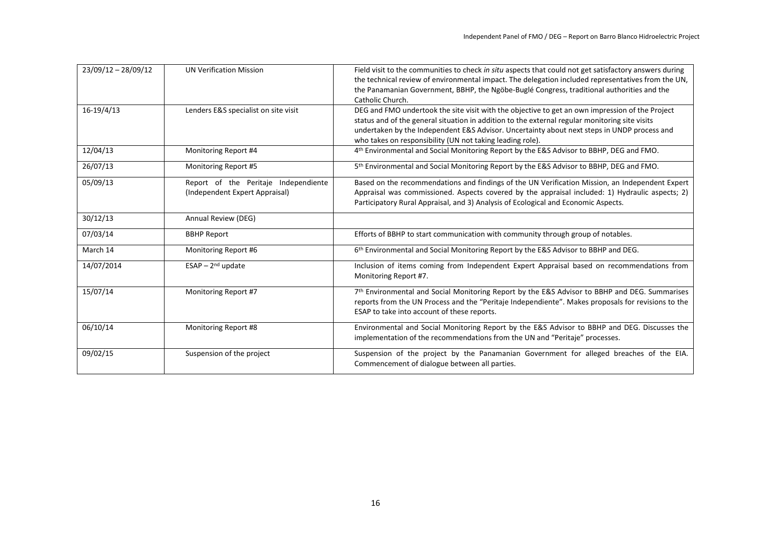| $23/09/12 - 28/09/12$ | <b>UN Verification Mission</b>                                         | Field visit to the communities to check in situ aspects that could not get satisfactory answers during<br>the technical review of environmental impact. The delegation included representatives from the UN,<br>the Panamanian Government, BBHP, the Ngöbe-Buglé Congress, traditional authorities and the<br>Catholic Church.                                |
|-----------------------|------------------------------------------------------------------------|---------------------------------------------------------------------------------------------------------------------------------------------------------------------------------------------------------------------------------------------------------------------------------------------------------------------------------------------------------------|
| $16-19/4/13$          | Lenders E&S specialist on site visit                                   | DEG and FMO undertook the site visit with the objective to get an own impression of the Project<br>status and of the general situation in addition to the external regular monitoring site visits<br>undertaken by the Independent E&S Advisor. Uncertainty about next steps in UNDP process and<br>who takes on responsibility (UN not taking leading role). |
| 12/04/13              | Monitoring Report #4                                                   | 4 <sup>th</sup> Environmental and Social Monitoring Report by the E&S Advisor to BBHP, DEG and FMO.                                                                                                                                                                                                                                                           |
| 26/07/13              | Monitoring Report #5                                                   | 5 <sup>th</sup> Environmental and Social Monitoring Report by the E&S Advisor to BBHP, DEG and FMO.                                                                                                                                                                                                                                                           |
| 05/09/13              | Report of the Peritaje Independiente<br>(Independent Expert Appraisal) | Based on the recommendations and findings of the UN Verification Mission, an Independent Expert<br>Appraisal was commissioned. Aspects covered by the appraisal included: 1) Hydraulic aspects; 2)<br>Participatory Rural Appraisal, and 3) Analysis of Ecological and Economic Aspects.                                                                      |
| 30/12/13              | Annual Review (DEG)                                                    |                                                                                                                                                                                                                                                                                                                                                               |
| 07/03/14              | <b>BBHP Report</b>                                                     | Efforts of BBHP to start communication with community through group of notables.                                                                                                                                                                                                                                                                              |
| March 14              | Monitoring Report #6                                                   | 6 <sup>th</sup> Environmental and Social Monitoring Report by the E&S Advisor to BBHP and DEG.                                                                                                                                                                                                                                                                |
| 14/07/2014            | ESAP $-2^{nd}$ update                                                  | Inclusion of items coming from Independent Expert Appraisal based on recommendations from<br>Monitoring Report #7.                                                                                                                                                                                                                                            |
| 15/07/14              | Monitoring Report #7                                                   | 7th Environmental and Social Monitoring Report by the E&S Advisor to BBHP and DEG. Summarises<br>reports from the UN Process and the "Peritaje Independiente". Makes proposals for revisions to the<br>ESAP to take into account of these reports.                                                                                                            |
| 06/10/14              | Monitoring Report #8                                                   | Environmental and Social Monitoring Report by the E&S Advisor to BBHP and DEG. Discusses the<br>implementation of the recommendations from the UN and "Peritaje" processes.                                                                                                                                                                                   |
| 09/02/15              | Suspension of the project                                              | Suspension of the project by the Panamanian Government for alleged breaches of the EIA.<br>Commencement of dialogue between all parties.                                                                                                                                                                                                                      |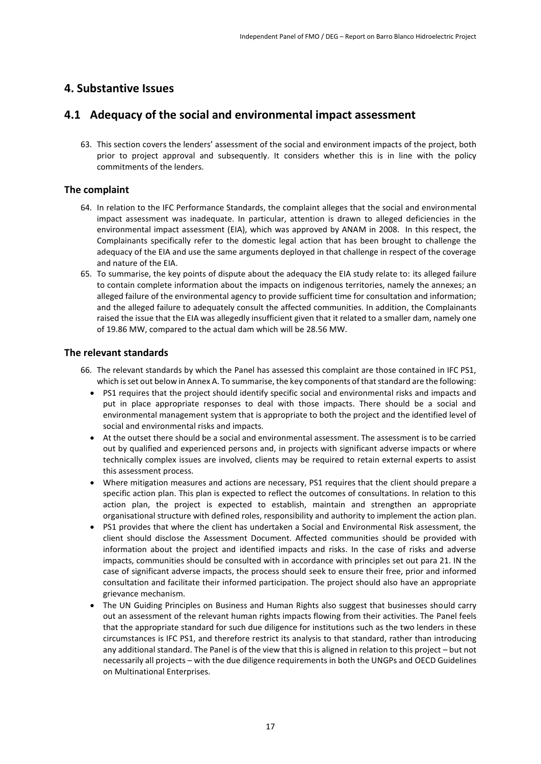### <span id="page-16-0"></span>**4. Substantive Issues**

### <span id="page-16-1"></span>**4.1 Adequacy of the social and environmental impact assessment**

63. This section covers the lenders' assessment of the social and environment impacts of the project, both prior to project approval and subsequently. It considers whether this is in line with the policy commitments of the lenders.

### **The complaint**

- 64. In relation to the IFC Performance Standards, the complaint alleges that the social and environmental impact assessment was inadequate. In particular, attention is drawn to alleged deficiencies in the environmental impact assessment (EIA), which was approved by ANAM in 2008. In this respect, the Complainants specifically refer to the domestic legal action that has been brought to challenge the adequacy of the EIA and use the same arguments deployed in that challenge in respect of the coverage and nature of the EIA.
- 65. To summarise, the key points of dispute about the adequacy the EIA study relate to: its alleged failure to contain complete information about the impacts on indigenous territories, namely the annexes; an alleged failure of the environmental agency to provide sufficient time for consultation and information; and the alleged failure to adequately consult the affected communities. In addition, the Complainants raised the issue that the EIA was allegedly insufficient given that it related to a smaller dam, namely one of 19.86 MW, compared to the actual dam which will be 28.56 MW.

### **The relevant standards**

- 66. The relevant standards by which the Panel has assessed this complaint are those contained in IFC PS1, which is set out below in Annex A. To summarise, the key components of that standard are the following:
	- PS1 requires that the project should identify specific social and environmental risks and impacts and put in place appropriate responses to deal with those impacts. There should be a social and environmental management system that is appropriate to both the project and the identified level of social and environmental risks and impacts.
	- At the outset there should be a social and environmental assessment. The assessment is to be carried out by qualified and experienced persons and, in projects with significant adverse impacts or where technically complex issues are involved, clients may be required to retain external experts to assist this assessment process.
	- Where mitigation measures and actions are necessary, PS1 requires that the client should prepare a specific action plan. This plan is expected to reflect the outcomes of consultations. In relation to this action plan, the project is expected to establish, maintain and strengthen an appropriate organisational structure with defined roles, responsibility and authority to implement the action plan.
	- PS1 provides that where the client has undertaken a Social and Environmental Risk assessment, the client should disclose the Assessment Document. Affected communities should be provided with information about the project and identified impacts and risks. In the case of risks and adverse impacts, communities should be consulted with in accordance with principles set out para 21. IN the case of significant adverse impacts, the process should seek to ensure their free, prior and informed consultation and facilitate their informed participation. The project should also have an appropriate grievance mechanism.
	- The UN Guiding Principles on Business and Human Rights also suggest that businesses should carry out an assessment of the relevant human rights impacts flowing from their activities. The Panel feels that the appropriate standard for such due diligence for institutions such as the two lenders in these circumstances is IFC PS1, and therefore restrict its analysis to that standard, rather than introducing any additional standard. The Panel is of the view that this is aligned in relation to this project – but not necessarily all projects – with the due diligence requirements in both the UNGPs and OECD Guidelines on Multinational Enterprises.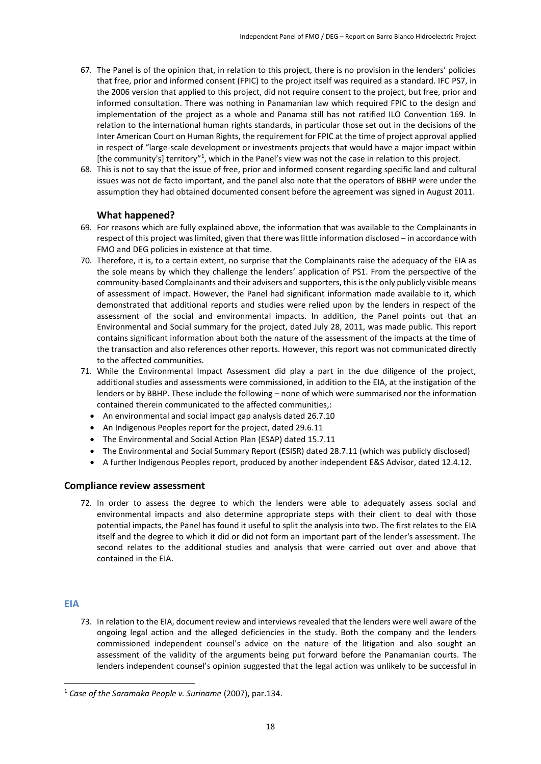- 67. The Panel is of the opinion that, in relation to this project, there is no provision in the lenders' policies that free, prior and informed consent (FPIC) to the project itself was required as a standard. IFC PS7, in the 2006 version that applied to this project, did not require consent to the project, but free, prior and informed consultation. There was nothing in Panamanian law which required FPIC to the design and implementation of the project as a whole and Panama still has not ratified ILO Convention 169. In relation to the international human rights standards, in particular those set out in the decisions of the Inter American Court on Human Rights, the requirement for FPIC at the time of project approval applied in respect of "large-scale development or investments projects that would have a major impact within [the community's] territory"<sup>1</sup>, which in the Panel's view was not the case in relation to this project.
- 68. This is not to say that the issue of free, prior and informed consent regarding specific land and cultural issues was not de facto important, and the panel also note that the operators of BBHP were under the assumption they had obtained documented consent before the agreement was signed in August 2011.

### **What happened?**

- 69. For reasons which are fully explained above, the information that was available to the Complainants in respect of this project was limited, given that there was little information disclosed – in accordance with FMO and DEG policies in existence at that time.
- 70. Therefore, it is, to a certain extent, no surprise that the Complainants raise the adequacy of the EIA as the sole means by which they challenge the lenders' application of PS1. From the perspective of the community-based Complainants and their advisers and supporters, this is the only publicly visible means of assessment of impact. However, the Panel had significant information made available to it, which demonstrated that additional reports and studies were relied upon by the lenders in respect of the assessment of the social and environmental impacts. In addition, the Panel points out that an Environmental and Social summary for the project, dated July 28, 2011, was made public. This report contains significant information about both the nature of the assessment of the impacts at the time of the transaction and also references other reports. However, this report was not communicated directly to the affected communities.
- 71. While the Environmental Impact Assessment did play a part in the due diligence of the project, additional studies and assessments were commissioned, in addition to the EIA, at the instigation of the lenders or by BBHP. These include the following – none of which were summarised nor the information contained therein communicated to the affected communities,:
	- An environmental and social impact gap analysis dated 26.7.10
	- An Indigenous Peoples report for the project, dated 29.6.11
	- The Environmental and Social Action Plan (ESAP) dated 15.7.11
	- The Environmental and Social Summary Report (ESISR) dated 28.7.11 (which was publicly disclosed)
	- A further Indigenous Peoples report, produced by another independent E&S Advisor, dated 12.4.12.

#### **Compliance review assessment**

72. In order to assess the degree to which the lenders were able to adequately assess social and environmental impacts and also determine appropriate steps with their client to deal with those potential impacts, the Panel has found it useful to split the analysis into two. The first relates to the EIA itself and the degree to which it did or did not form an important part of the lender's assessment. The second relates to the additional studies and analysis that were carried out over and above that contained in the EIA.

#### **EIA**

1

73. In relation to the EIA, document review and interviews revealed that the lenders were well aware of the ongoing legal action and the alleged deficiencies in the study. Both the company and the lenders commissioned independent counsel's advice on the nature of the litigation and also sought an assessment of the validity of the arguments being put forward before the Panamanian courts. The lenders independent counsel's opinion suggested that the legal action was unlikely to be successful in

<sup>1</sup> *Case of the Saramaka People v. Suriname* (2007), par.134.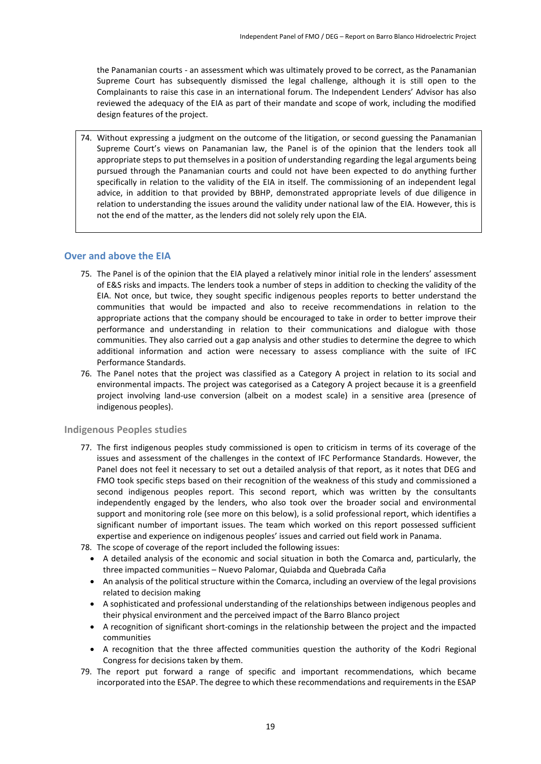the Panamanian courts - an assessment which was ultimately proved to be correct, as the Panamanian Supreme Court has subsequently dismissed the legal challenge, although it is still open to the Complainants to raise this case in an international forum. The Independent Lenders' Advisor has also reviewed the adequacy of the EIA as part of their mandate and scope of work, including the modified design features of the project.

74. Without expressing a judgment on the outcome of the litigation, or second guessing the Panamanian Supreme Court's views on Panamanian law, the Panel is of the opinion that the lenders took all appropriate steps to put themselves in a position of understanding regarding the legal arguments being pursued through the Panamanian courts and could not have been expected to do anything further specifically in relation to the validity of the EIA in itself. The commissioning of an independent legal advice, in addition to that provided by BBHP, demonstrated appropriate levels of due diligence in relation to understanding the issues around the validity under national law of the EIA. However, this is not the end of the matter, as the lenders did not solely rely upon the EIA.

#### **Over and above the EIA**

- 75. The Panel is of the opinion that the EIA played a relatively minor initial role in the lenders' assessment of E&S risks and impacts. The lenders took a number of steps in addition to checking the validity of the EIA. Not once, but twice, they sought specific indigenous peoples reports to better understand the communities that would be impacted and also to receive recommendations in relation to the appropriate actions that the company should be encouraged to take in order to better improve their performance and understanding in relation to their communications and dialogue with those communities. They also carried out a gap analysis and other studies to determine the degree to which additional information and action were necessary to assess compliance with the suite of IFC Performance Standards.
- 76. The Panel notes that the project was classified as a Category A project in relation to its social and environmental impacts. The project was categorised as a Category A project because it is a greenfield project involving land-use conversion (albeit on a modest scale) in a sensitive area (presence of indigenous peoples).

#### **Indigenous Peoples studies**

- 77. The first indigenous peoples study commissioned is open to criticism in terms of its coverage of the issues and assessment of the challenges in the context of IFC Performance Standards. However, the Panel does not feel it necessary to set out a detailed analysis of that report, as it notes that DEG and FMO took specific steps based on their recognition of the weakness of this study and commissioned a second indigenous peoples report. This second report, which was written by the consultants independently engaged by the lenders, who also took over the broader social and environmental support and monitoring role (see more on this below), is a solid professional report, which identifies a significant number of important issues. The team which worked on this report possessed sufficient expertise and experience on indigenous peoples' issues and carried out field work in Panama.
- 78. The scope of coverage of the report included the following issues:
	- A detailed analysis of the economic and social situation in both the Comarca and, particularly, the three impacted communities – Nuevo Palomar, Quiabda and Quebrada Caña
	- An analysis of the political structure within the Comarca, including an overview of the legal provisions related to decision making
	- A sophisticated and professional understanding of the relationships between indigenous peoples and their physical environment and the perceived impact of the Barro Blanco project
	- A recognition of significant short-comings in the relationship between the project and the impacted communities
	- A recognition that the three affected communities question the authority of the Kodri Regional Congress for decisions taken by them.
- 79. The report put forward a range of specific and important recommendations, which became incorporated into the ESAP. The degree to which these recommendations and requirements in the ESAP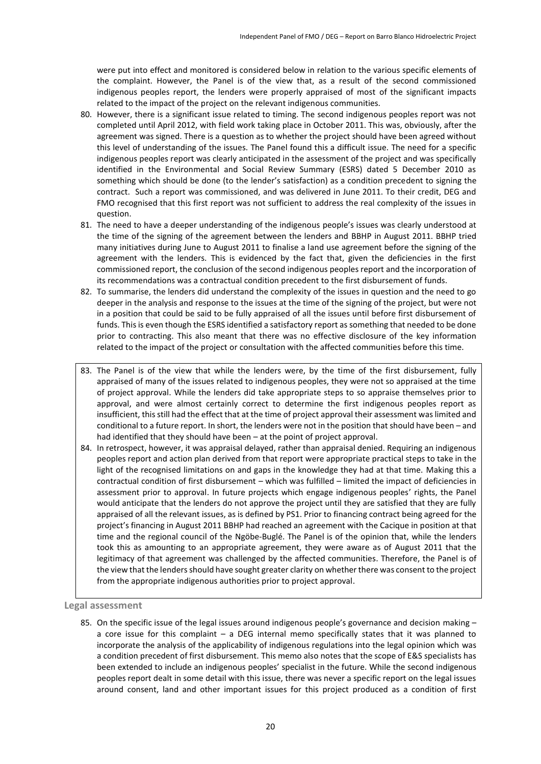were put into effect and monitored is considered below in relation to the various specific elements of the complaint. However, the Panel is of the view that, as a result of the second commissioned indigenous peoples report, the lenders were properly appraised of most of the significant impacts related to the impact of the project on the relevant indigenous communities.

- 80. However, there is a significant issue related to timing. The second indigenous peoples report was not completed until April 2012, with field work taking place in October 2011. This was, obviously, after the agreement was signed. There is a question as to whether the project should have been agreed without this level of understanding of the issues. The Panel found this a difficult issue. The need for a specific indigenous peoples report was clearly anticipated in the assessment of the project and was specifically identified in the Environmental and Social Review Summary (ESRS) dated 5 December 2010 as something which should be done (to the lender's satisfaction) as a condition precedent to signing the contract. Such a report was commissioned, and was delivered in June 2011. To their credit, DEG and FMO recognised that this first report was not sufficient to address the real complexity of the issues in question.
- 81. The need to have a deeper understanding of the indigenous people's issues was clearly understood at the time of the signing of the agreement between the lenders and BBHP in August 2011. BBHP tried many initiatives during June to August 2011 to finalise a land use agreement before the signing of the agreement with the lenders. This is evidenced by the fact that, given the deficiencies in the first commissioned report, the conclusion of the second indigenous peoples report and the incorporation of its recommendations was a contractual condition precedent to the first disbursement of funds.
- 82. To summarise, the lenders did understand the complexity of the issues in question and the need to go deeper in the analysis and response to the issues at the time of the signing of the project, but were not in a position that could be said to be fully appraised of all the issues until before first disbursement of funds. This is even though the ESRS identified a satisfactory report as something that needed to be done prior to contracting. This also meant that there was no effective disclosure of the key information related to the impact of the project or consultation with the affected communities before this time.
- 83. The Panel is of the view that while the lenders were, by the time of the first disbursement, fully appraised of many of the issues related to indigenous peoples, they were not so appraised at the time of project approval. While the lenders did take appropriate steps to so appraise themselves prior to approval, and were almost certainly correct to determine the first indigenous peoples report as insufficient, this still had the effect that at the time of project approval their assessment was limited and conditional to a future report. In short, the lenders were not in the position that should have been – and had identified that they should have been – at the point of project approval.
- 84. In retrospect, however, it was appraisal delayed, rather than appraisal denied. Requiring an indigenous peoples report and action plan derived from that report were appropriate practical steps to take in the light of the recognised limitations on and gaps in the knowledge they had at that time. Making this a contractual condition of first disbursement – which was fulfilled – limited the impact of deficiencies in assessment prior to approval. In future projects which engage indigenous peoples' rights, the Panel would anticipate that the lenders do not approve the project until they are satisfied that they are fully appraised of all the relevant issues, as is defined by PS1. Prior to financing contract being agreed for the project's financing in August 2011 BBHP had reached an agreement with the Cacique in position at that time and the regional council of the Ngöbe-Buglé. The Panel is of the opinion that, while the lenders took this as amounting to an appropriate agreement, they were aware as of August 2011 that the legitimacy of that agreement was challenged by the affected communities. Therefore, the Panel is of the view that the lendersshould have sought greater clarity on whether there was consent to the project from the appropriate indigenous authorities prior to project approval.

**Legal assessment**

85. On the specific issue of the legal issues around indigenous people's governance and decision making a core issue for this complaint  $-$  a DEG internal memo specifically states that it was planned to incorporate the analysis of the applicability of indigenous regulations into the legal opinion which was a condition precedent of first disbursement. This memo also notes that the scope of E&S specialists has been extended to include an indigenous peoples' specialist in the future. While the second indigenous peoples report dealt in some detail with this issue, there was never a specific report on the legal issues around consent, land and other important issues for this project produced as a condition of first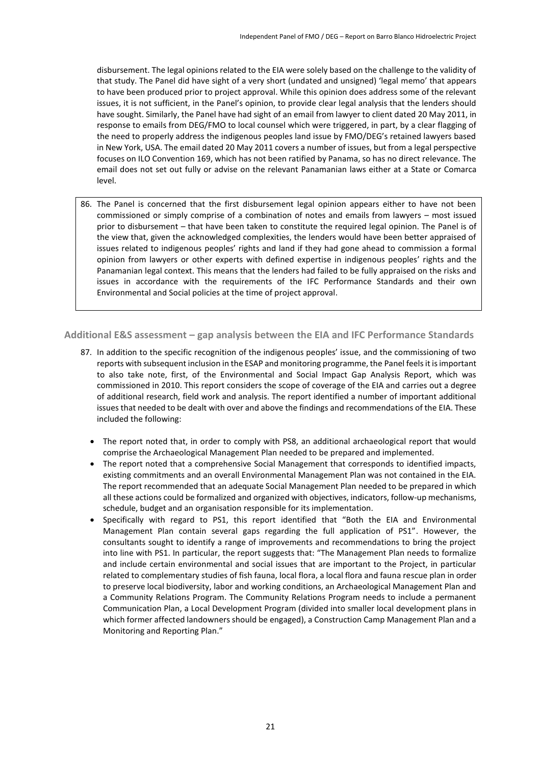disbursement. The legal opinions related to the EIA were solely based on the challenge to the validity of that study. The Panel did have sight of a very short (undated and unsigned) 'legal memo' that appears to have been produced prior to project approval. While this opinion does address some of the relevant issues, it is not sufficient, in the Panel's opinion, to provide clear legal analysis that the lenders should have sought. Similarly, the Panel have had sight of an email from lawyer to client dated 20 May 2011, in response to emails from DEG/FMO to local counsel which were triggered, in part, by a clear flagging of the need to properly address the indigenous peoples land issue by FMO/DEG's retained lawyers based in New York, USA. The email dated 20 May 2011 covers a number of issues, but from a legal perspective focuses on ILO Convention 169, which has not been ratified by Panama, so has no direct relevance. The email does not set out fully or advise on the relevant Panamanian laws either at a State or Comarca level.

86. The Panel is concerned that the first disbursement legal opinion appears either to have not been commissioned or simply comprise of a combination of notes and emails from lawyers – most issued prior to disbursement – that have been taken to constitute the required legal opinion. The Panel is of the view that, given the acknowledged complexities, the lenders would have been better appraised of issues related to indigenous peoples' rights and land if they had gone ahead to commission a formal opinion from lawyers or other experts with defined expertise in indigenous peoples' rights and the Panamanian legal context. This means that the lenders had failed to be fully appraised on the risks and issues in accordance with the requirements of the IFC Performance Standards and their own Environmental and Social policies at the time of project approval.

**Additional E&S assessment – gap analysis between the EIA and IFC Performance Standards**

- 87. In addition to the specific recognition of the indigenous peoples' issue, and the commissioning of two reports with subsequent inclusion in the ESAP and monitoring programme, the Panel feelsit is important to also take note, first, of the Environmental and Social Impact Gap Analysis Report, which was commissioned in 2010. This report considers the scope of coverage of the EIA and carries out a degree of additional research, field work and analysis. The report identified a number of important additional issues that needed to be dealt with over and above the findings and recommendations of the EIA. These included the following:
	- The report noted that, in order to comply with PS8, an additional archaeological report that would comprise the Archaeological Management Plan needed to be prepared and implemented.
	- The report noted that a comprehensive Social Management that corresponds to identified impacts, existing commitments and an overall Environmental Management Plan was not contained in the EIA. The report recommended that an adequate Social Management Plan needed to be prepared in which all these actions could be formalized and organized with objectives, indicators, follow-up mechanisms, schedule, budget and an organisation responsible for its implementation.
	- Specifically with regard to PS1, this report identified that "Both the EIA and Environmental Management Plan contain several gaps regarding the full application of PS1". However, the consultants sought to identify a range of improvements and recommendations to bring the project into line with PS1. In particular, the report suggests that: "The Management Plan needs to formalize and include certain environmental and social issues that are important to the Project, in particular related to complementary studies of fish fauna, local flora, a local flora and fauna rescue plan in order to preserve local biodiversity, labor and working conditions, an Archaeological Management Plan and a Community Relations Program. The Community Relations Program needs to include a permanent Communication Plan, a Local Development Program (divided into smaller local development plans in which former affected landowners should be engaged), a Construction Camp Management Plan and a Monitoring and Reporting Plan."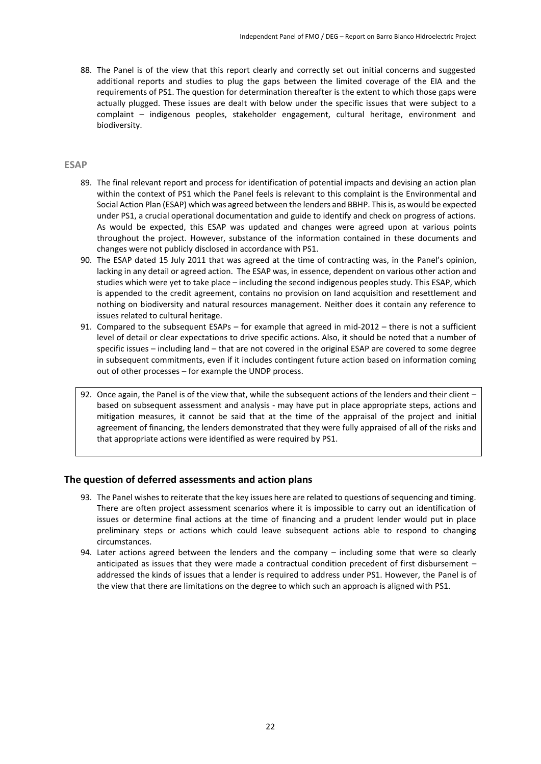88. The Panel is of the view that this report clearly and correctly set out initial concerns and suggested additional reports and studies to plug the gaps between the limited coverage of the EIA and the requirements of PS1. The question for determination thereafter is the extent to which those gaps were actually plugged. These issues are dealt with below under the specific issues that were subject to a complaint – indigenous peoples, stakeholder engagement, cultural heritage, environment and biodiversity.

#### **ESAP**

- 89. The final relevant report and process for identification of potential impacts and devising an action plan within the context of PS1 which the Panel feels is relevant to this complaint is the Environmental and Social Action Plan (ESAP) which was agreed between the lenders and BBHP. This is, as would be expected under PS1, a crucial operational documentation and guide to identify and check on progress of actions. As would be expected, this ESAP was updated and changes were agreed upon at various points throughout the project. However, substance of the information contained in these documents and changes were not publicly disclosed in accordance with PS1.
- 90. The ESAP dated 15 July 2011 that was agreed at the time of contracting was, in the Panel's opinion, lacking in any detail or agreed action. The ESAP was, in essence, dependent on various other action and studies which were yet to take place – including the second indigenous peoples study. This ESAP, which is appended to the credit agreement, contains no provision on land acquisition and resettlement and nothing on biodiversity and natural resources management. Neither does it contain any reference to issues related to cultural heritage.
- 91. Compared to the subsequent ESAPs for example that agreed in mid-2012 there is not a sufficient level of detail or clear expectations to drive specific actions. Also, it should be noted that a number of specific issues – including land – that are not covered in the original ESAP are covered to some degree in subsequent commitments, even if it includes contingent future action based on information coming out of other processes – for example the UNDP process.
- 92. Once again, the Panel is of the view that, while the subsequent actions of the lenders and their client based on subsequent assessment and analysis - may have put in place appropriate steps, actions and mitigation measures, it cannot be said that at the time of the appraisal of the project and initial agreement of financing, the lenders demonstrated that they were fully appraised of all of the risks and that appropriate actions were identified as were required by PS1.

#### **The question of deferred assessments and action plans**

- 93. The Panel wishes to reiterate that the key issues here are related to questions of sequencing and timing. There are often project assessment scenarios where it is impossible to carry out an identification of issues or determine final actions at the time of financing and a prudent lender would put in place preliminary steps or actions which could leave subsequent actions able to respond to changing circumstances.
- 94. Later actions agreed between the lenders and the company including some that were so clearly anticipated as issues that they were made a contractual condition precedent of first disbursement – addressed the kinds of issues that a lender is required to address under PS1. However, the Panel is of the view that there are limitations on the degree to which such an approach is aligned with PS1.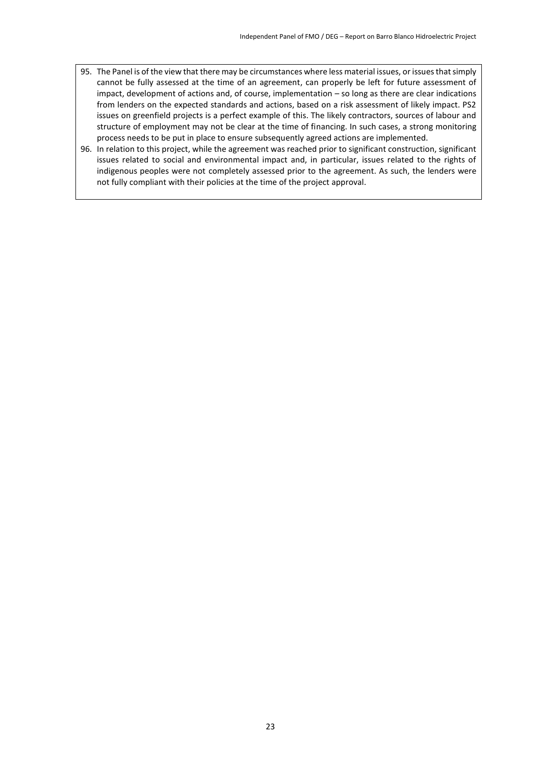- 95. The Panel is of the view that there may be circumstances where less material issues, or issues that simply cannot be fully assessed at the time of an agreement, can properly be left for future assessment of impact, development of actions and, of course, implementation – so long as there are clear indications from lenders on the expected standards and actions, based on a risk assessment of likely impact. PS2 issues on greenfield projects is a perfect example of this. The likely contractors, sources of labour and structure of employment may not be clear at the time of financing. In such cases, a strong monitoring process needs to be put in place to ensure subsequently agreed actions are implemented.
- 96. In relation to this project, while the agreement was reached prior to significant construction, significant issues related to social and environmental impact and, in particular, issues related to the rights of indigenous peoples were not completely assessed prior to the agreement. As such, the lenders were not fully compliant with their policies at the time of the project approval.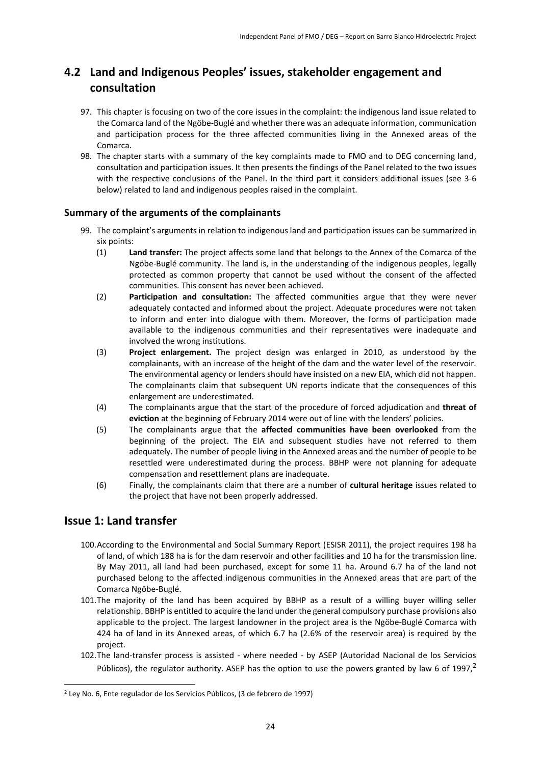### <span id="page-23-0"></span>**4.2 Land and Indigenous Peoples' issues, stakeholder engagement and consultation**

- 97. This chapter is focusing on two of the core issues in the complaint: the indigenous land issue related to the Comarca land of the Ngöbe-Buglé and whether there was an adequate information, communication and participation process for the three affected communities living in the Annexed areas of the Comarca.
- 98. The chapter starts with a summary of the key complaints made to FMO and to DEG concerning land, consultation and participation issues. It then presents the findings of the Panel related to the two issues with the respective conclusions of the Panel. In the third part it considers additional issues (see 3-6 below) related to land and indigenous peoples raised in the complaint.

### **Summary of the arguments of the complainants**

- 99. The complaint's arguments in relation to indigenous land and participation issues can be summarized in six points:
	- (1) **Land transfer:** The project affects some land that belongs to the Annex of the Comarca of the Ngöbe-Buglé community. The land is, in the understanding of the indigenous peoples, legally protected as common property that cannot be used without the consent of the affected communities. This consent has never been achieved.
	- (2) **Participation and consultation:** The affected communities argue that they were never adequately contacted and informed about the project. Adequate procedures were not taken to inform and enter into dialogue with them. Moreover, the forms of participation made available to the indigenous communities and their representatives were inadequate and involved the wrong institutions.
	- (3) **Project enlargement.** The project design was enlarged in 2010, as understood by the complainants, with an increase of the height of the dam and the water level of the reservoir. The environmental agency or lenders should have insisted on a new EIA, which did not happen. The complainants claim that subsequent UN reports indicate that the consequences of this enlargement are underestimated.
	- (4) The complainants argue that the start of the procedure of forced adjudication and **threat of eviction** at the beginning of February 2014 were out of line with the lenders' policies.
	- (5) The complainants argue that the **affected communities have been overlooked** from the beginning of the project. The EIA and subsequent studies have not referred to them adequately. The number of people living in the Annexed areas and the number of people to be resettled were underestimated during the process. BBHP were not planning for adequate compensation and resettlement plans are inadequate.
	- (6) Finally, the complainants claim that there are a number of **cultural heritage** issues related to the project that have not been properly addressed.

### **Issue 1: Land transfer**

**.** 

- 100.According to the Environmental and Social Summary Report (ESISR 2011), the project requires 198 ha of land, of which 188 ha is for the dam reservoir and other facilities and 10 ha for the transmission line. By May 2011, all land had been purchased, except for some 11 ha. Around 6.7 ha of the land not purchased belong to the affected indigenous communities in the Annexed areas that are part of the Comarca Ngöbe-Buglé.
- 101.The majority of the land has been acquired by BBHP as a result of a willing buyer willing seller relationship. BBHP is entitled to acquire the land under the general compulsory purchase provisions also applicable to the project. The largest landowner in the project area is the Ngöbe-Buglé Comarca with 424 ha of land in its Annexed areas, of which 6.7 ha (2.6% of the reservoir area) is required by the project.
- 102.The land-transfer process is assisted where needed by ASEP (Autoridad Nacional de los Servicios Públicos), the regulator authority. ASEP has the option to use the powers granted by law 6 of 1997,<sup>2</sup>

<sup>2</sup> Ley No. 6, Ente regulador de los Servicios Públicos, (3 de febrero de 1997)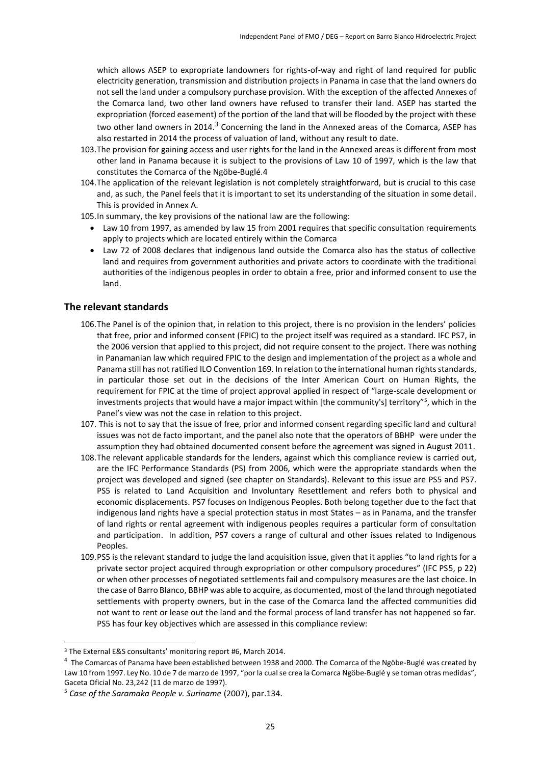which allows ASEP to expropriate landowners for rights-of-way and right of land required for public electricity generation, transmission and distribution projects in Panama in case that the land owners do not sell the land under a compulsory purchase provision. With the exception of the affected Annexes of the Comarca land, two other land owners have refused to transfer their land. ASEP has started the expropriation (forced easement) of the portion of the land that will be flooded by the project with these two other land owners in 2014.<sup>3</sup> Concerning the land in the Annexed areas of the Comarca, ASEP has also restarted in 2014 the process of valuation of land, without any result to date.

- 103.The provision for gaining access and user rights for the land in the Annexed areas is different from most other land in Panama because it is subject to the provisions of Law 10 of 1997, which is the law that constitutes the Comarca of the Ngöbe-Buglé.4
- 104.The application of the relevant legislation is not completely straightforward, but is crucial to this case and, as such, the Panel feels that it is important to set its understanding of the situation in some detail. This is provided in Annex A.
- 105.In summary, the key provisions of the national law are the following:
	- Law 10 from 1997, as amended by law 15 from 2001 requires that specific consultation requirements apply to projects which are located entirely within the Comarca
	- Law 72 of 2008 declares that indigenous land outside the Comarca also has the status of collective land and requires from government authorities and private actors to coordinate with the traditional authorities of the indigenous peoples in order to obtain a free, prior and informed consent to use the land.

### **The relevant standards**

- 106.The Panel is of the opinion that, in relation to this project, there is no provision in the lenders' policies that free, prior and informed consent (FPIC) to the project itself was required as a standard. IFC PS7, in the 2006 version that applied to this project, did not require consent to the project. There was nothing in Panamanian law which required FPIC to the design and implementation of the project as a whole and Panama still has not ratified ILO Convention 169. In relation to the international human rights standards, in particular those set out in the decisions of the Inter American Court on Human Rights, the requirement for FPIC at the time of project approval applied in respect of "large-scale development or investments projects that would have a major impact within [the community's] territory"<sup>5</sup> , which in the Panel's view was not the case in relation to this project.
- 107. This is not to say that the issue of free, prior and informed consent regarding specific land and cultural issues was not de facto important, and the panel also note that the operators of BBHP were under the assumption they had obtained documented consent before the agreement was signed in August 2011.
- 108.The relevant applicable standards for the lenders, against which this compliance review is carried out, are the IFC Performance Standards (PS) from 2006, which were the appropriate standards when the project was developed and signed (see chapter on Standards). Relevant to this issue are PS5 and PS7. PS5 is related to Land Acquisition and Involuntary Resettlement and refers both to physical and economic displacements. PS7 focuses on Indigenous Peoples. Both belong together due to the fact that indigenous land rights have a special protection status in most States – as in Panama, and the transfer of land rights or rental agreement with indigenous peoples requires a particular form of consultation and participation. In addition, PS7 covers a range of cultural and other issues related to Indigenous Peoples.
- 109.PS5 is the relevant standard to judge the land acquisition issue, given that it applies "to land rights for a private sector project acquired through expropriation or other compulsory procedures" (IFC PS5, p 22) or when other processes of negotiated settlements fail and compulsory measures are the last choice. In the case of Barro Blanco, BBHP was able to acquire, as documented, most of the land through negotiated settlements with property owners, but in the case of the Comarca land the affected communities did not want to rent or lease out the land and the formal process of land transfer has not happened so far. PS5 has four key objectives which are assessed in this compliance review:

**.** 

<sup>3</sup> The External E&S consultants' monitoring report #6, March 2014.

<sup>&</sup>lt;sup>4</sup> The Comarcas of Panama have been established between 1938 and 2000. The Comarca of the Ngöbe-Buglé was created by Law 10 from 1997. Ley No. 10 de 7 de marzo de 1997, "por la cual se crea la Comarca Ngöbe-Buglé y se toman otras medidas", Gaceta Oficial No. 23,242 (11 de marzo de 1997).

<sup>5</sup> *Case of the Saramaka People v. Suriname* (2007), par.134.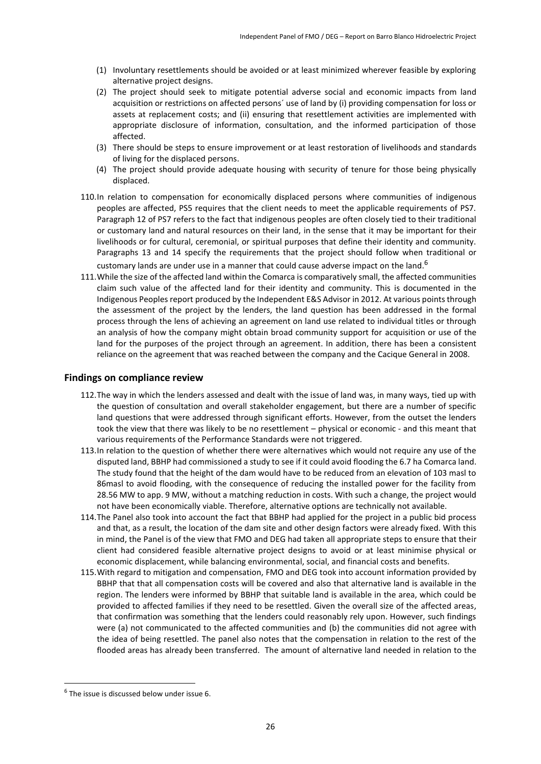- (1) Involuntary resettlements should be avoided or at least minimized wherever feasible by exploring alternative project designs.
- (2) The project should seek to mitigate potential adverse social and economic impacts from land acquisition or restrictions on affected persons´ use of land by (i) providing compensation for loss or assets at replacement costs; and (ii) ensuring that resettlement activities are implemented with appropriate disclosure of information, consultation, and the informed participation of those affected.
- (3) There should be steps to ensure improvement or at least restoration of livelihoods and standards of living for the displaced persons.
- (4) The project should provide adequate housing with security of tenure for those being physically displaced.
- 110.In relation to compensation for economically displaced persons where communities of indigenous peoples are affected, PS5 requires that the client needs to meet the applicable requirements of PS7. Paragraph 12 of PS7 refers to the fact that indigenous peoples are often closely tied to their traditional or customary land and natural resources on their land, in the sense that it may be important for their livelihoods or for cultural, ceremonial, or spiritual purposes that define their identity and community. Paragraphs 13 and 14 specify the requirements that the project should follow when traditional or customary lands are under use in a manner that could cause adverse impact on the land.<sup>6</sup>
- 111.While the size of the affected land within the Comarca is comparatively small, the affected communities claim such value of the affected land for their identity and community. This is documented in the Indigenous Peoples report produced by the Independent E&S Advisor in 2012. At various points through the assessment of the project by the lenders, the land question has been addressed in the formal process through the lens of achieving an agreement on land use related to individual titles or through an analysis of how the company might obtain broad community support for acquisition or use of the land for the purposes of the project through an agreement. In addition, there has been a consistent reliance on the agreement that was reached between the company and the Cacique General in 2008.

#### **Findings on compliance review**

- 112.The way in which the lenders assessed and dealt with the issue of land was, in many ways, tied up with the question of consultation and overall stakeholder engagement, but there are a number of specific land questions that were addressed through significant efforts. However, from the outset the lenders took the view that there was likely to be no resettlement – physical or economic - and this meant that various requirements of the Performance Standards were not triggered.
- 113.In relation to the question of whether there were alternatives which would not require any use of the disputed land, BBHP had commissioned a study to see if it could avoid flooding the 6.7 ha Comarca land. The study found that the height of the dam would have to be reduced from an elevation of 103 masl to 86masl to avoid flooding, with the consequence of reducing the installed power for the facility from 28.56 MW to app. 9 MW, without a matching reduction in costs. With such a change, the project would not have been economically viable. Therefore, alternative options are technically not available.
- 114.The Panel also took into account the fact that BBHP had applied for the project in a public bid process and that, as a result, the location of the dam site and other design factors were already fixed. With this in mind, the Panel is of the view that FMO and DEG had taken all appropriate steps to ensure that their client had considered feasible alternative project designs to avoid or at least minimise physical or economic displacement, while balancing environmental, social, and financial costs and benefits.
- 115.With regard to mitigation and compensation, FMO and DEG took into account information provided by BBHP that that all compensation costs will be covered and also that alternative land is available in the region. The lenders were informed by BBHP that suitable land is available in the area, which could be provided to affected families if they need to be resettled. Given the overall size of the affected areas, that confirmation was something that the lenders could reasonably rely upon. However, such findings were (a) not communicated to the affected communities and (b) the communities did not agree with the idea of being resettled. The panel also notes that the compensation in relation to the rest of the flooded areas has already been transferred. The amount of alternative land needed in relation to the

1

<sup>&</sup>lt;sup>6</sup> The issue is discussed below under issue 6.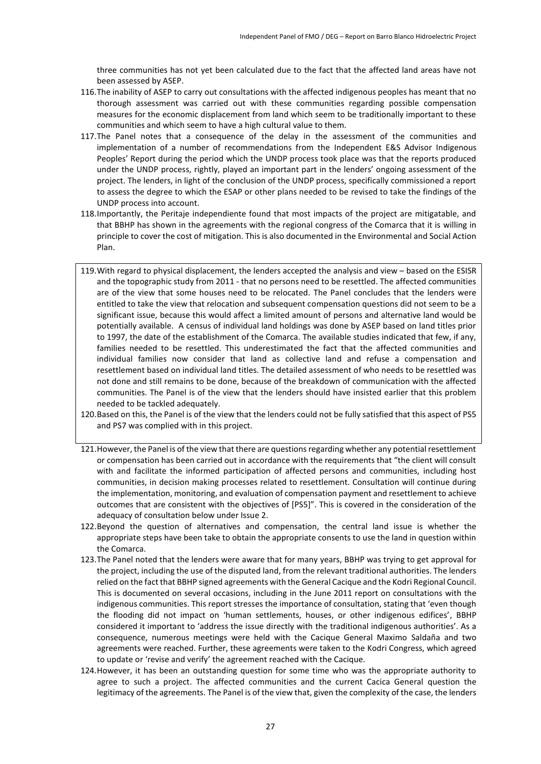three communities has not yet been calculated due to the fact that the affected land areas have not been assessed by ASEP.

- 116.The inability of ASEP to carry out consultations with the affected indigenous peoples has meant that no thorough assessment was carried out with these communities regarding possible compensation measures for the economic displacement from land which seem to be traditionally important to these communities and which seem to have a high cultural value to them.
- 117.The Panel notes that a consequence of the delay in the assessment of the communities and implementation of a number of recommendations from the Independent E&S Advisor Indigenous Peoples' Report during the period which the UNDP process took place was that the reports produced under the UNDP process, rightly, played an important part in the lenders' ongoing assessment of the project. The lenders, in light of the conclusion of the UNDP process, specifically commissioned a report to assess the degree to which the ESAP or other plans needed to be revised to take the findings of the UNDP process into account.
- 118.Importantly, the Peritaje independiente found that most impacts of the project are mitigatable, and that BBHP has shown in the agreements with the regional congress of the Comarca that it is willing in principle to cover the cost of mitigation. This is also documented in the Environmental and Social Action Plan.
- 119.With regard to physical displacement, the lenders accepted the analysis and view based on the ESISR and the topographic study from 2011 - that no persons need to be resettled. The affected communities are of the view that some houses need to be relocated. The Panel concludes that the lenders were entitled to take the view that relocation and subsequent compensation questions did not seem to be a significant issue, because this would affect a limited amount of persons and alternative land would be potentially available. A census of individual land holdings was done by ASEP based on land titles prior to 1997, the date of the establishment of the Comarca. The available studies indicated that few, if any, families needed to be resettled. This underestimated the fact that the affected communities and individual families now consider that land as collective land and refuse a compensation and resettlement based on individual land titles. The detailed assessment of who needs to be resettled was not done and still remains to be done, because of the breakdown of communication with the affected communities. The Panel is of the view that the lenders should have insisted earlier that this problem needed to be tackled adequately.
- 120.Based on this, the Panel is of the view that the lenders could not be fully satisfied that this aspect of PS5 and PS7 was complied with in this project.
- 121.However, the Panel is of the view that there are questions regarding whether any potential resettlement or compensation has been carried out in accordance with the requirements that "the client will consult with and facilitate the informed participation of affected persons and communities, including host communities, in decision making processes related to resettlement. Consultation will continue during the implementation, monitoring, and evaluation of compensation payment and resettlement to achieve outcomes that are consistent with the objectives of [PS5]". This is covered in the consideration of the adequacy of consultation below under Issue 2.
- 122.Beyond the question of alternatives and compensation, the central land issue is whether the appropriate steps have been take to obtain the appropriate consents to use the land in question within the Comarca.
- 123.The Panel noted that the lenders were aware that for many years, BBHP was trying to get approval for the project, including the use of the disputed land, from the relevant traditional authorities. The lenders relied on the fact that BBHP signed agreements with the General Cacique and the Kodri Regional Council. This is documented on several occasions, including in the June 2011 report on consultations with the indigenous communities. This report stresses the importance of consultation, stating that 'even though the flooding did not impact on 'human settlements, houses, or other indigenous edifices', BBHP considered it important to 'address the issue directly with the traditional indigenous authorities'. As a consequence, numerous meetings were held with the Cacique General Maximo Saldaña and two agreements were reached. Further, these agreements were taken to the Kodri Congress, which agreed to update or 'revise and verify' the agreement reached with the Cacique.
- 124.However, it has been an outstanding question for some time who was the appropriate authority to agree to such a project. The affected communities and the current Cacica General question the legitimacy of the agreements. The Panel is of the view that, given the complexity of the case, the lenders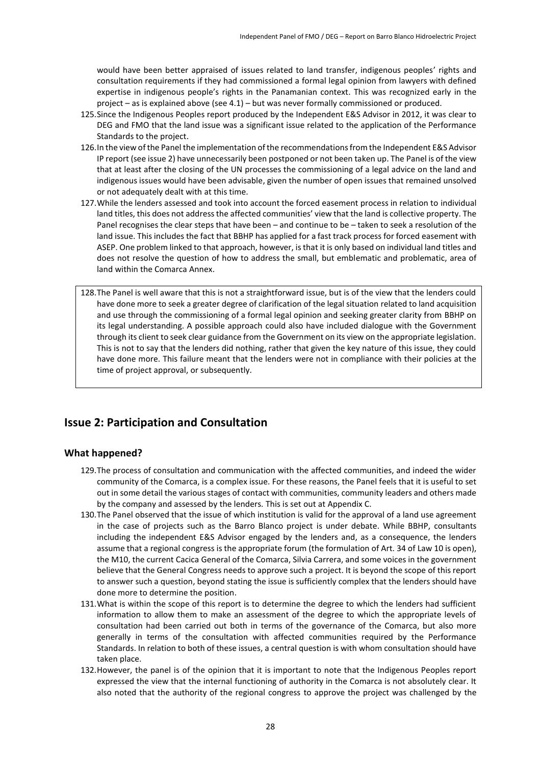would have been better appraised of issues related to land transfer, indigenous peoples' rights and consultation requirements if they had commissioned a formal legal opinion from lawyers with defined expertise in indigenous people's rights in the Panamanian context. This was recognized early in the project – as is explained above (see 4.1) – but was never formally commissioned or produced.

- 125.Since the Indigenous Peoples report produced by the Independent E&S Advisor in 2012, it was clear to DEG and FMO that the land issue was a significant issue related to the application of the Performance Standards to the project.
- 126.In the view of the Panel the implementation of the recommendations from the Independent E&S Advisor IP report (see issue 2) have unnecessarily been postponed or not been taken up. The Panel is of the view that at least after the closing of the UN processes the commissioning of a legal advice on the land and indigenous issues would have been advisable, given the number of open issues that remained unsolved or not adequately dealt with at this time.
- 127.While the lenders assessed and took into account the forced easement process in relation to individual land titles, this does not address the affected communities' view that the land is collective property. The Panel recognises the clear steps that have been – and continue to be – taken to seek a resolution of the land issue. This includes the fact that BBHP has applied for a fast track process for forced easement with ASEP. One problem linked to that approach, however, is that it is only based on individual land titles and does not resolve the question of how to address the small, but emblematic and problematic, area of land within the Comarca Annex.
- 128.The Panel is well aware that this is not a straightforward issue, but is of the view that the lenders could have done more to seek a greater degree of clarification of the legal situation related to land acquisition and use through the commissioning of a formal legal opinion and seeking greater clarity from BBHP on its legal understanding. A possible approach could also have included dialogue with the Government through its client to seek clear guidance from the Government on its view on the appropriate legislation. This is not to say that the lenders did nothing, rather that given the key nature of this issue, they could have done more. This failure meant that the lenders were not in compliance with their policies at the time of project approval, or subsequently.

### **Issue 2: Participation and Consultation**

### **What happened?**

- 129.The process of consultation and communication with the affected communities, and indeed the wider community of the Comarca, is a complex issue. For these reasons, the Panel feels that it is useful to set out in some detail the various stages of contact with communities, community leaders and others made by the company and assessed by the lenders. This is set out at Appendix C.
- 130.The Panel observed that the issue of which institution is valid for the approval of a land use agreement in the case of projects such as the Barro Blanco project is under debate. While BBHP, consultants including the independent E&S Advisor engaged by the lenders and, as a consequence, the lenders assume that a regional congress is the appropriate forum (the formulation of Art. 34 of Law 10 is open), the M10, the current Cacica General of the Comarca, Silvia Carrera, and some voices in the government believe that the General Congress needs to approve such a project. It is beyond the scope of this report to answer such a question, beyond stating the issue is sufficiently complex that the lenders should have done more to determine the position.
- 131.What is within the scope of this report is to determine the degree to which the lenders had sufficient information to allow them to make an assessment of the degree to which the appropriate levels of consultation had been carried out both in terms of the governance of the Comarca, but also more generally in terms of the consultation with affected communities required by the Performance Standards. In relation to both of these issues, a central question is with whom consultation should have taken place.
- 132.However, the panel is of the opinion that it is important to note that the Indigenous Peoples report expressed the view that the internal functioning of authority in the Comarca is not absolutely clear. It also noted that the authority of the regional congress to approve the project was challenged by the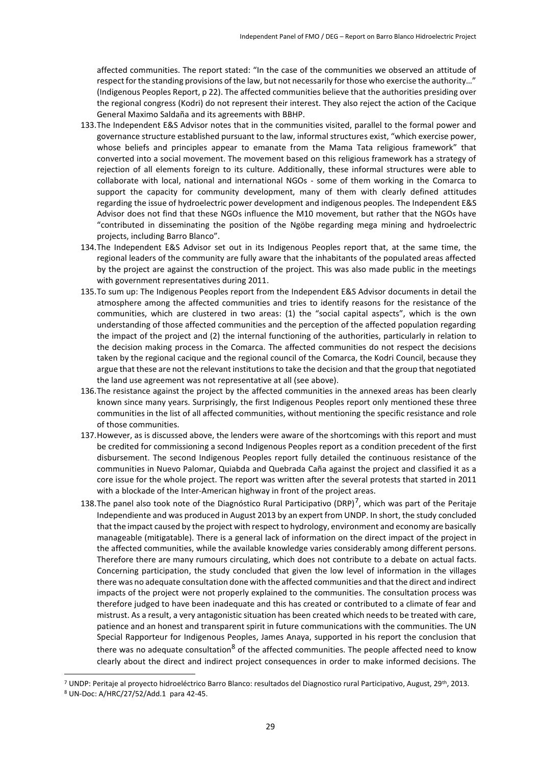affected communities. The report stated: "In the case of the communities we observed an attitude of respect for the standing provisions of the law, but not necessarily for those who exercise the authority…" (Indigenous Peoples Report, p 22). The affected communities believe that the authorities presiding over the regional congress (Kodri) do not represent their interest. They also reject the action of the Cacique General Maximo Saldaña and its agreements with BBHP.

- 133.The Independent E&S Advisor notes that in the communities visited, parallel to the formal power and governance structure established pursuant to the law, informal structures exist, "which exercise power, whose beliefs and principles appear to emanate from the Mama Tata religious framework" that converted into a social movement. The movement based on this religious framework has a strategy of rejection of all elements foreign to its culture. Additionally, these informal structures were able to collaborate with local, national and international NGOs - some of them working in the Comarca to support the capacity for community development, many of them with clearly defined attitudes regarding the issue of hydroelectric power development and indigenous peoples. The Independent E&S Advisor does not find that these NGOs influence the M10 movement, but rather that the NGOs have "contributed in disseminating the position of the Ngöbe regarding mega mining and hydroelectric projects, including Barro Blanco".
- 134.The Independent E&S Advisor set out in its Indigenous Peoples report that, at the same time, the regional leaders of the community are fully aware that the inhabitants of the populated areas affected by the project are against the construction of the project. This was also made public in the meetings with government representatives during 2011.
- 135.To sum up: The Indigenous Peoples report from the Independent E&S Advisor documents in detail the atmosphere among the affected communities and tries to identify reasons for the resistance of the communities, which are clustered in two areas: (1) the "social capital aspects", which is the own understanding of those affected communities and the perception of the affected population regarding the impact of the project and (2) the internal functioning of the authorities, particularly in relation to the decision making process in the Comarca. The affected communities do not respect the decisions taken by the regional cacique and the regional council of the Comarca, the Kodri Council, because they argue that these are not the relevant institutions to take the decision and that the group that negotiated the land use agreement was not representative at all (see above).
- 136.The resistance against the project by the affected communities in the annexed areas has been clearly known since many years. Surprisingly, the first Indigenous Peoples report only mentioned these three communities in the list of all affected communities, without mentioning the specific resistance and role of those communities.
- 137.However, as is discussed above, the lenders were aware of the shortcomings with this report and must be credited for commissioning a second Indigenous Peoples report as a condition precedent of the first disbursement. The second Indigenous Peoples report fully detailed the continuous resistance of the communities in Nuevo Palomar, Quiabda and Quebrada Caña against the project and classified it as a core issue for the whole project. The report was written after the several protests that started in 2011 with a blockade of the Inter-American highway in front of the project areas.
- 138.The panel also took note of the Diagnóstico Rural Participativo (DRP)<sup>7</sup>, which was part of the Peritaje Independiente and was produced in August 2013 by an expert from UNDP. In short, the study concluded that the impact caused by the project with respect to hydrology, environment and economy are basically manageable (mitigatable). There is a general lack of information on the direct impact of the project in the affected communities, while the available knowledge varies considerably among different persons. Therefore there are many rumours circulating, which does not contribute to a debate on actual facts. Concerning participation, the study concluded that given the low level of information in the villages there was no adequate consultation done with the affected communities and that the direct and indirect impacts of the project were not properly explained to the communities. The consultation process was therefore judged to have been inadequate and this has created or contributed to a climate of fear and mistrust. As a result, a very antagonistic situation has been created which needs to be treated with care, patience and an honest and transparent spirit in future communications with the communities. The UN Special Rapporteur for Indigenous Peoples, James Anaya, supported in his report the conclusion that there was no adequate consultation<sup>8</sup> of the affected communities. The people affected need to know clearly about the direct and indirect project consequences in order to make informed decisions. The

1

<sup>7</sup> UNDP: Peritaje al proyecto hidroeléctrico Barro Blanco: resultados del Diagnostico rural Participativo, August, 29th, 2013.

<sup>8</sup> UN-Doc: A/HRC/27/52/Add.1 para 42-45.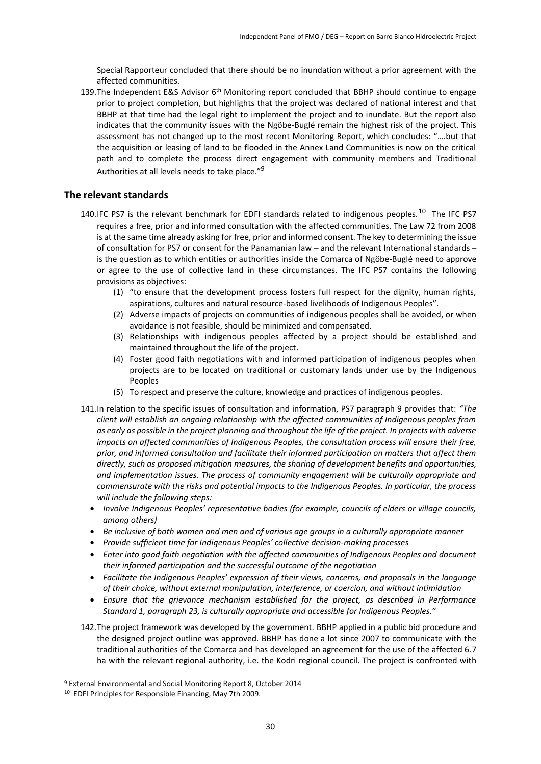Special Rapporteur concluded that there should be no inundation without a prior agreement with the affected communities.

139. The Independent E&S Advisor 6<sup>th</sup> Monitoring report concluded that BBHP should continue to engage prior to project completion, but highlights that the project was declared of national interest and that BBHP at that time had the legal right to implement the project and to inundate. But the report also indicates that the community issues with the Ngöbe-Buglé remain the highest risk of the project. This assessment has not changed up to the most recent Monitoring Report, which concludes: "….but that the acquisition or leasing of land to be flooded in the Annex Land Communities is now on the critical path and to complete the process direct engagement with community members and Traditional Authorities at all levels needs to take place."<sup>9</sup>

#### **The relevant standards**

- 140.IFC PS7 is the relevant benchmark for EDFI standards related to indigenous peoples.<sup>10</sup> The IFC PS7 requires a free, prior and informed consultation with the affected communities. The Law 72 from 2008 is at the same time already asking for free, prior and informed consent. The key to determining the issue of consultation for PS7 or consent for the Panamanian law – and the relevant International standards – is the question as to which entities or authorities inside the Comarca of Ngöbe-Buglé need to approve or agree to the use of collective land in these circumstances. The IFC PS7 contains the following provisions as objectives:
	- (1) "to ensure that the development process fosters full respect for the dignity, human rights, aspirations, cultures and natural resource-based livelihoods of Indigenous Peoples".
	- (2) Adverse impacts of projects on communities of indigenous peoples shall be avoided, or when avoidance is not feasible, should be minimized and compensated.
	- (3) Relationships with indigenous peoples affected by a project should be established and maintained throughout the life of the project.
	- (4) Foster good faith negotiations with and informed participation of indigenous peoples when projects are to be located on traditional or customary lands under use by the Indigenous Peoples
	- (5) To respect and preserve the culture, knowledge and practices of indigenous peoples.
- 141.In relation to the specific issues of consultation and information, PS7 paragraph 9 provides that: *"The client will establish an ongoing relationship with the affected communities of Indigenous peoples from as early as possible in the project planning and throughout the life of the project. In projects with adverse impacts on affected communities of Indigenous Peoples, the consultation process will ensure their free, prior, and informed consultation and facilitate their informed participation on matters that affect them directly, such as proposed mitigation measures, the sharing of development benefits and opportunities, and implementation issues. The process of community engagement will be culturally appropriate and commensurate with the risks and potential impacts to the Indigenous Peoples. In particular, the process will include the following steps:*
	- *Involve Indigenous Peoples' representative bodies (for example, councils of elders or village councils, among others)*
	- *Be inclusive of both women and men and of various age groups in a culturally appropriate manner*
	- *Provide sufficient time for Indigenous Peoples' collective decision-making processes*
	- *Enter into good faith negotiation with the affected communities of Indigenous Peoples and document their informed participation and the successful outcome of the negotiation*
	- **•** Facilitate the Indigenous Peoples' expression of their views, concerns, and proposals in the language *of their choice, without external manipulation, interference, or coercion, and without intimidation*
	- *Ensure that the grievance mechanism established for the project, as described in Performance Standard 1, paragraph 23, is culturally appropriate and accessible for Indigenous Peoples."*
- 142.The project framework was developed by the government. BBHP applied in a public bid procedure and the designed project outline was approved. BBHP has done a lot since 2007 to communicate with the traditional authorities of the Comarca and has developed an agreement for the use of the affected 6.7 ha with the relevant regional authority, i.e. the Kodri regional council. The project is confronted with

1

<sup>9</sup> External Environmental and Social Monitoring Report 8, October 2014

<sup>10</sup> EDFI Principles for Responsible Financing, May 7th 2009.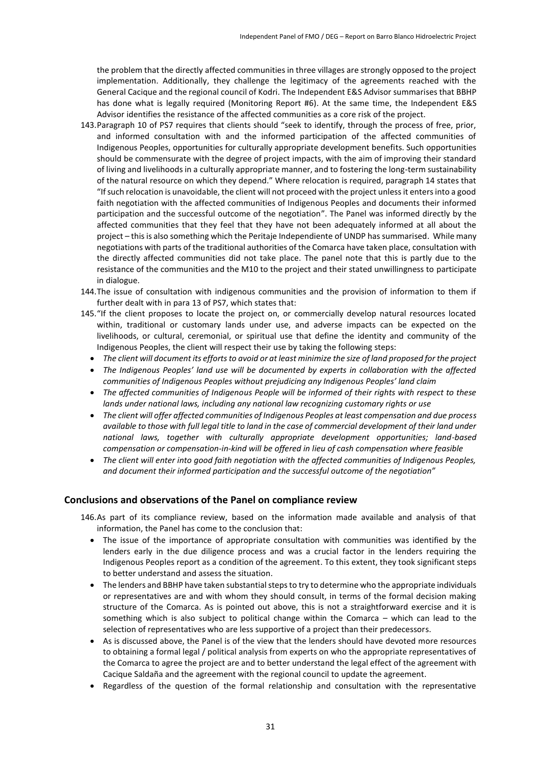the problem that the directly affected communities in three villages are strongly opposed to the project implementation. Additionally, they challenge the legitimacy of the agreements reached with the General Cacique and the regional council of Kodri. The Independent E&S Advisor summarises that BBHP has done what is legally required (Monitoring Report #6). At the same time, the Independent E&S Advisor identifies the resistance of the affected communities as a core risk of the project.

- 143.Paragraph 10 of PS7 requires that clients should "seek to identify, through the process of free, prior, and informed consultation with and the informed participation of the affected communities of Indigenous Peoples, opportunities for culturally appropriate development benefits. Such opportunities should be commensurate with the degree of project impacts, with the aim of improving their standard of living and livelihoods in a culturally appropriate manner, and to fostering the long-term sustainability of the natural resource on which they depend." Where relocation is required, paragraph 14 states that "If such relocation is unavoidable, the client will not proceed with the project unless it enters into a good faith negotiation with the affected communities of Indigenous Peoples and documents their informed participation and the successful outcome of the negotiation". The Panel was informed directly by the affected communities that they feel that they have not been adequately informed at all about the project – this is also something which the Peritaje Independiente of UNDP has summarised. While many negotiations with parts of the traditional authorities of the Comarca have taken place, consultation with the directly affected communities did not take place. The panel note that this is partly due to the resistance of the communities and the M10 to the project and their stated unwillingness to participate in dialogue.
- 144.The issue of consultation with indigenous communities and the provision of information to them if further dealt with in para 13 of PS7, which states that:
- 145."If the client proposes to locate the project on, or commercially develop natural resources located within, traditional or customary lands under use, and adverse impacts can be expected on the livelihoods, or cultural, ceremonial, or spiritual use that define the identity and community of the Indigenous Peoples, the client will respect their use by taking the following steps:
	- *The client will document its efforts to avoid or at least minimize the size of land proposed for the project*
	- *The Indigenous Peoples' land use will be documented by experts in collaboration with the affected communities of Indigenous Peoples without prejudicing any Indigenous Peoples' land claim*
	- *The affected communities of Indigenous People will be informed of their rights with respect to these lands under national laws, including any national law recognizing customary rights or use*
	- *The client will offer affected communities of Indigenous Peoples at least compensation and due process available to those with full legal title to land in the case of commercial development of their land under national laws, together with culturally appropriate development opportunities; land-based compensation or compensation-in-kind will be offered in lieu of cash compensation where feasible*
	- *The client will enter into good faith negotiation with the affected communities of Indigenous Peoples, and document their informed participation and the successful outcome of the negotiation"*

#### **Conclusions and observations of the Panel on compliance review**

- 146.As part of its compliance review, based on the information made available and analysis of that information, the Panel has come to the conclusion that:
	- The issue of the importance of appropriate consultation with communities was identified by the lenders early in the due diligence process and was a crucial factor in the lenders requiring the Indigenous Peoples report as a condition of the agreement. To this extent, they took significant steps to better understand and assess the situation.
	- The lenders and BBHP have taken substantial steps to try to determine who the appropriate individuals or representatives are and with whom they should consult, in terms of the formal decision making structure of the Comarca. As is pointed out above, this is not a straightforward exercise and it is something which is also subject to political change within the Comarca – which can lead to the selection of representatives who are less supportive of a project than their predecessors.
	- As is discussed above, the Panel is of the view that the lenders should have devoted more resources to obtaining a formal legal / political analysis from experts on who the appropriate representatives of the Comarca to agree the project are and to better understand the legal effect of the agreement with Cacique Saldaña and the agreement with the regional council to update the agreement.
	- Regardless of the question of the formal relationship and consultation with the representative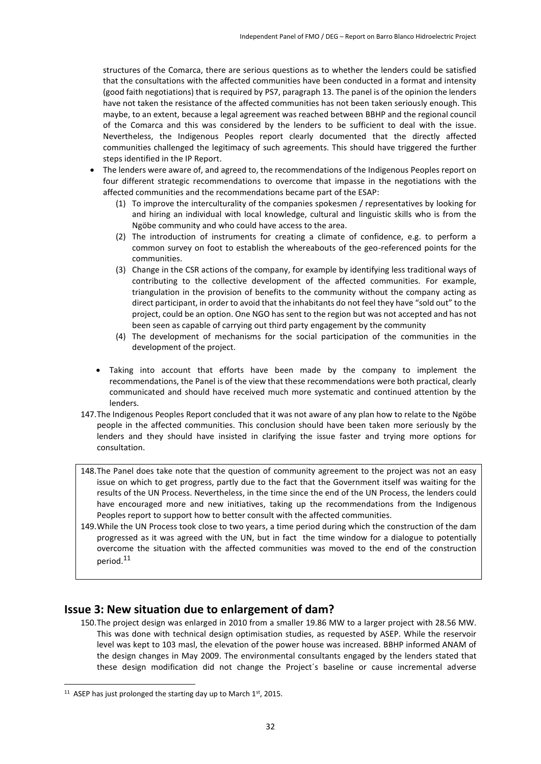structures of the Comarca, there are serious questions as to whether the lenders could be satisfied that the consultations with the affected communities have been conducted in a format and intensity (good faith negotiations) that is required by PS7, paragraph 13. The panel is of the opinion the lenders have not taken the resistance of the affected communities has not been taken seriously enough. This maybe, to an extent, because a legal agreement was reached between BBHP and the regional council of the Comarca and this was considered by the lenders to be sufficient to deal with the issue. Nevertheless, the Indigenous Peoples report clearly documented that the directly affected communities challenged the legitimacy of such agreements. This should have triggered the further steps identified in the IP Report.

- The lenders were aware of, and agreed to, the recommendations of the Indigenous Peoples report on four different strategic recommendations to overcome that impasse in the negotiations with the affected communities and the recommendations became part of the ESAP:
	- (1) To improve the interculturality of the companies spokesmen / representatives by looking for and hiring an individual with local knowledge, cultural and linguistic skills who is from the Ngöbe community and who could have access to the area.
	- (2) The introduction of instruments for creating a climate of confidence, e.g. to perform a common survey on foot to establish the whereabouts of the geo-referenced points for the communities.
	- (3) Change in the CSR actions of the company, for example by identifying less traditional ways of contributing to the collective development of the affected communities. For example, triangulation in the provision of benefits to the community without the company acting as direct participant, in order to avoid that the inhabitants do not feel they have "sold out" to the project, could be an option. One NGO has sent to the region but was not accepted and has not been seen as capable of carrying out third party engagement by the community
	- (4) The development of mechanisms for the social participation of the communities in the development of the project.
	- Taking into account that efforts have been made by the company to implement the recommendations, the Panel is of the view that these recommendations were both practical, clearly communicated and should have received much more systematic and continued attention by the lenders.
- 147.The Indigenous Peoples Report concluded that it was not aware of any plan how to relate to the Ngöbe people in the affected communities. This conclusion should have been taken more seriously by the lenders and they should have insisted in clarifying the issue faster and trying more options for consultation.
- 148.The Panel does take note that the question of community agreement to the project was not an easy issue on which to get progress, partly due to the fact that the Government itself was waiting for the results of the UN Process. Nevertheless, in the time since the end of the UN Process, the lenders could have encouraged more and new initiatives, taking up the recommendations from the Indigenous Peoples report to support how to better consult with the affected communities.
- 149.While the UN Process took close to two years, a time period during which the construction of the dam progressed as it was agreed with the UN, but in fact the time window for a dialogue to potentially overcome the situation with the affected communities was moved to the end of the construction period.<sup>11</sup>

### **Issue 3: New situation due to enlargement of dam?**

150.The project design was enlarged in 2010 from a smaller 19.86 MW to a larger project with 28.56 MW. This was done with technical design optimisation studies, as requested by ASEP. While the reservoir level was kept to 103 masl, the elevation of the power house was increased. BBHP informed ANAM of the design changes in May 2009. The environmental consultants engaged by the lenders stated that these design modification did not change the Project´s baseline or cause incremental adverse

**.** 

<sup>&</sup>lt;sup>11</sup> ASEP has just prolonged the starting day up to March  $1<sup>st</sup>$ , 2015.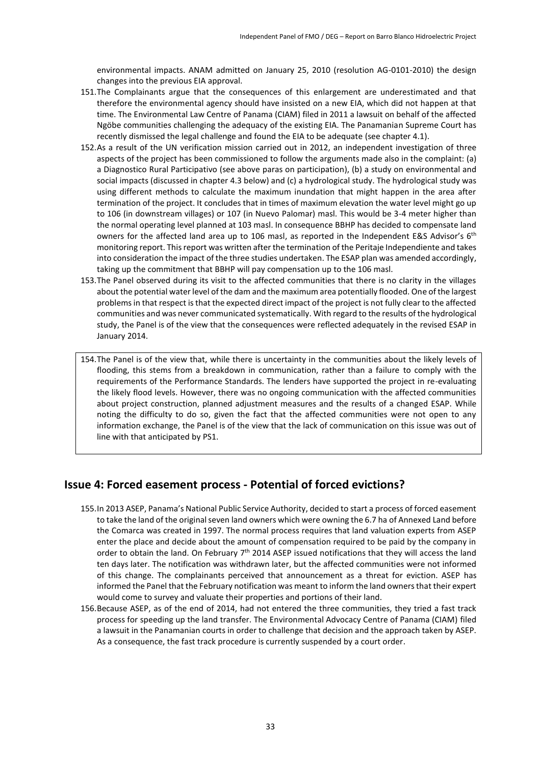environmental impacts. ANAM admitted on January 25, 2010 (resolution AG-0101-2010) the design changes into the previous EIA approval.

- 151.The Complainants argue that the consequences of this enlargement are underestimated and that therefore the environmental agency should have insisted on a new EIA, which did not happen at that time. The Environmental Law Centre of Panama (CIAM) filed in 2011 a lawsuit on behalf of the affected Ngöbe communities challenging the adequacy of the existing EIA. The Panamanian Supreme Court has recently dismissed the legal challenge and found the EIA to be adequate (see chapter 4.1).
- 152.As a result of the UN verification mission carried out in 2012, an independent investigation of three aspects of the project has been commissioned to follow the arguments made also in the complaint: (a) a Diagnostico Rural Participativo (see above paras on participation), (b) a study on environmental and social impacts (discussed in chapter 4.3 below) and (c) a hydrological study. The hydrological study was using different methods to calculate the maximum inundation that might happen in the area after termination of the project. It concludes that in times of maximum elevation the water level might go up to 106 (in downstream villages) or 107 (in Nuevo Palomar) masl. This would be 3-4 meter higher than the normal operating level planned at 103 masl. In consequence BBHP has decided to compensate land owners for the affected land area up to 106 masl, as reported in the Independent E&S Advisor's 6<sup>th</sup> monitoring report. Thisreport was written after the termination of the Peritaje Independiente and takes into consideration the impact of the three studies undertaken. The ESAP plan was amended accordingly, taking up the commitment that BBHP will pay compensation up to the 106 masl.
- 153.The Panel observed during its visit to the affected communities that there is no clarity in the villages about the potential water level of the dam and the maximum area potentially flooded. One of the largest problems in that respect is that the expected direct impact of the project is not fully clear to the affected communities and was never communicated systematically. With regard to the results of the hydrological study, the Panel is of the view that the consequences were reflected adequately in the revised ESAP in January 2014.

154.The Panel is of the view that, while there is uncertainty in the communities about the likely levels of flooding, this stems from a breakdown in communication, rather than a failure to comply with the requirements of the Performance Standards. The lenders have supported the project in re-evaluating the likely flood levels. However, there was no ongoing communication with the affected communities about project construction, planned adjustment measures and the results of a changed ESAP. While noting the difficulty to do so, given the fact that the affected communities were not open to any information exchange, the Panel is of the view that the lack of communication on this issue was out of line with that anticipated by PS1.

### **Issue 4: Forced easement process - Potential of forced evictions?**

- 155.In 2013 ASEP, Panama's National Public Service Authority, decided to start a process of forced easement to take the land of the original seven land owners which were owning the 6.7 ha of Annexed Land before the Comarca was created in 1997. The normal process requires that land valuation experts from ASEP enter the place and decide about the amount of compensation required to be paid by the company in order to obtain the land. On February  $7<sup>th</sup>$  2014 ASEP issued notifications that they will access the land ten days later. The notification was withdrawn later, but the affected communities were not informed of this change. The complainants perceived that announcement as a threat for eviction. ASEP has informed the Panel that the February notification was meant to inform the land owners that their expert would come to survey and valuate their properties and portions of their land.
- 156.Because ASEP, as of the end of 2014, had not entered the three communities, they tried a fast track process for speeding up the land transfer. The Environmental Advocacy Centre of Panama (CIAM) filed a lawsuit in the Panamanian courts in order to challenge that decision and the approach taken by ASEP. As a consequence, the fast track procedure is currently suspended by a court order.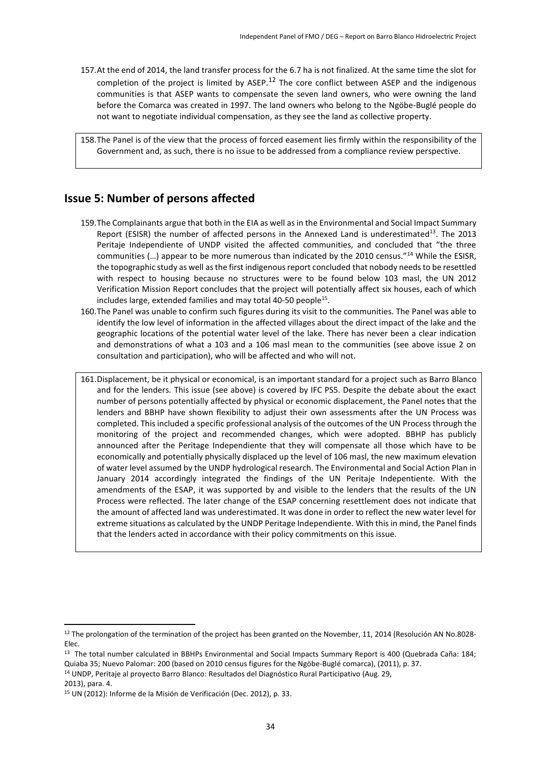157.At the end of 2014, the land transfer process for the 6.7 ha is not finalized. At the same time the slot for completion of the project is limited by  $ASEP<sup>12</sup>$  The core conflict between ASEP and the indigenous communities is that ASEP wants to compensate the seven land owners, who were owning the land before the Comarca was created in 1997. The land owners who belong to the Ngöbe-Buglé people do not want to negotiate individual compensation, as they see the land as collective property.

158.The Panel is of the view that the process of forced easement lies firmly within the responsibility of the Government and, as such, there is no issue to be addressed from a compliance review perspective.

### **Issue 5: Number of persons affected**

- 159.The Complainants argue that both in the EIA as well as in the Environmental and Social Impact Summary Report (ESISR) the number of affected persons in the Annexed Land is underestimated<sup>13</sup>. The 2013 Peritaje Independiente of UNDP visited the affected communities, and concluded that "the three communities (…) appear to be more numerous than indicated by the 2010 census."<sup>14</sup> While the ESISR, the topographic study as well as the first indigenous report concluded that nobody needs to be resettled with respect to housing because no structures were to be found below 103 masl, the UN 2012 Verification Mission Report concludes that the project will potentially affect six houses, each of which includes large, extended families and may total 40-50 people<sup>15</sup>.
- 160.The Panel was unable to confirm such figures during its visit to the communities. The Panel was able to identify the low level of information in the affected villages about the direct impact of the lake and the geographic locations of the potential water level of the lake. There has never been a clear indication and demonstrations of what a 103 and a 106 masl mean to the communities (see above issue 2 on consultation and participation), who will be affected and who will not.
- 161.Displacement, be it physical or economical, is an important standard for a project such as Barro Blanco and for the lenders. This issue (see above) is covered by IFC PS5. Despite the debate about the exact number of persons potentially affected by physical or economic displacement, the Panel notes that the lenders and BBHP have shown flexibility to adjust their own assessments after the UN Process was completed. This included a specific professional analysis of the outcomes of the UN Process through the monitoring of the project and recommended changes, which were adopted. BBHP has publicly announced after the Peritage Independiente that they will compensate all those which have to be economically and potentially physically displaced up the level of 106 masl, the new maximum elevation of water level assumed by the UNDP hydrological research. The Environmental and Social Action Plan in January 2014 accordingly integrated the findings of the UN Peritaje Indepentiente. With the amendments of the ESAP, it was supported by and visible to the lenders that the results of the UN Process were reflected. The later change of the ESAP concerning resettlement does not indicate that the amount of affected land was underestimated. It was done in order to reflect the new water level for extreme situations as calculated by the UNDP Peritage Independiente. With this in mind, the Panel finds that the lenders acted in accordance with their policy commitments on this issue.

<sup>14</sup> UNDP, Peritaje al proyecto Barro Blanco: Resultados del Diagnóstico Rural Participativo (Aug. 29, 2013), para. 4.

**.** 

<sup>&</sup>lt;sup>12</sup> The prolongation of the termination of the project has been granted on the November, 11, 2014 (Resolución AN No.8028-Elec.

<sup>13</sup> The total number calculated in BBHPs Environmental and Social Impacts Summary Report is 400 (Quebrada Caña: 184; Quiaba 35; Nuevo Palomar: 200 (based on 2010 census figures for the Ngöbe-Buglé comarca), (2011), p. 37.

<sup>15</sup> UN (2012): Informe de la Misión de Verificación (Dec. 2012), p. 33.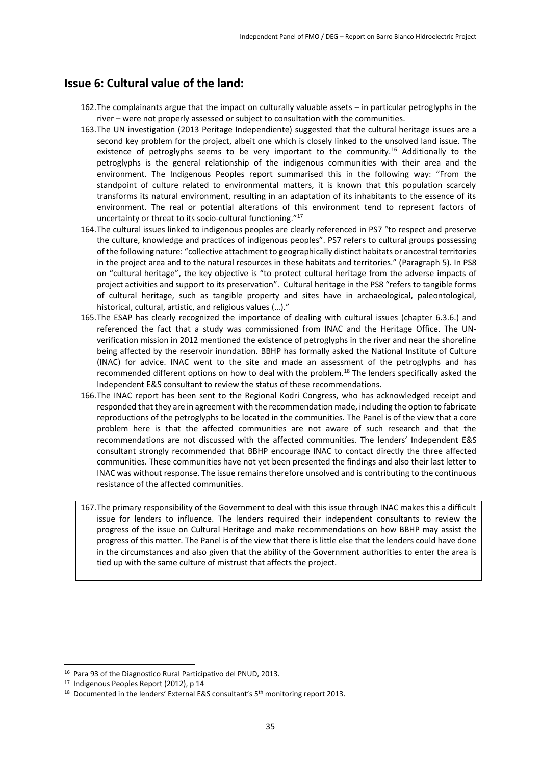### **Issue 6: Cultural value of the land:**

- 162.The complainants argue that the impact on culturally valuable assets in particular petroglyphs in the river – were not properly assessed or subject to consultation with the communities.
- 163.The UN investigation (2013 Peritage Independiente) suggested that the cultural heritage issues are a second key problem for the project, albeit one which is closely linked to the unsolved land issue. The existence of petroglyphs seems to be very important to the community.<sup>16</sup> Additionally to the petroglyphs is the general relationship of the indigenous communities with their area and the environment. The Indigenous Peoples report summarised this in the following way: "From the standpoint of culture related to environmental matters, it is known that this population scarcely transforms its natural environment, resulting in an adaptation of its inhabitants to the essence of its environment. The real or potential alterations of this environment tend to represent factors of uncertainty or threat to its socio-cultural functioning."<sup>17</sup>
- 164.The cultural issues linked to indigenous peoples are clearly referenced in PS7 "to respect and preserve the culture, knowledge and practices of indigenous peoples". PS7 refers to cultural groups possessing of the following nature: "collective attachment to geographically distinct habitats or ancestral territories in the project area and to the natural resources in these habitats and territories." (Paragraph 5). In PS8 on "cultural heritage", the key objective is "to protect cultural heritage from the adverse impacts of project activities and support to its preservation". Cultural heritage in the PS8 "refers to tangible forms of cultural heritage, such as tangible property and sites have in archaeological, paleontological, historical, cultural, artistic, and religious values (…)."
- 165.The ESAP has clearly recognized the importance of dealing with cultural issues (chapter 6.3.6.) and referenced the fact that a study was commissioned from INAC and the Heritage Office. The UNverification mission in 2012 mentioned the existence of petroglyphs in the river and near the shoreline being affected by the reservoir inundation. BBHP has formally asked the National Institute of Culture (INAC) for advice. INAC went to the site and made an assessment of the petroglyphs and has recommended different options on how to deal with the problem.<sup>18</sup> The lenders specifically asked the Independent E&S consultant to review the status of these recommendations.
- 166.The INAC report has been sent to the Regional Kodri Congress, who has acknowledged receipt and responded that they are in agreement with the recommendation made, including the option to fabricate reproductions of the petroglyphs to be located in the communities. The Panel is of the view that a core problem here is that the affected communities are not aware of such research and that the recommendations are not discussed with the affected communities. The lenders' Independent E&S consultant strongly recommended that BBHP encourage INAC to contact directly the three affected communities. These communities have not yet been presented the findings and also their last letter to INAC was without response. The issue remains therefore unsolved and is contributing to the continuous resistance of the affected communities.
- 167.The primary responsibility of the Government to deal with this issue through INAC makes this a difficult issue for lenders to influence. The lenders required their independent consultants to review the progress of the issue on Cultural Heritage and make recommendations on how BBHP may assist the progress of this matter. The Panel is of the view that there is little else that the lenders could have done in the circumstances and also given that the ability of the Government authorities to enter the area is tied up with the same culture of mistrust that affects the project.

**.** 

<sup>16</sup> Para 93 of the Diagnostico Rural Participativo del PNUD, 2013.

<sup>17</sup> Indigenous Peoples Report (2012), p 14

<sup>&</sup>lt;sup>18</sup> Documented in the lenders' External E&S consultant's 5<sup>th</sup> monitoring report 2013.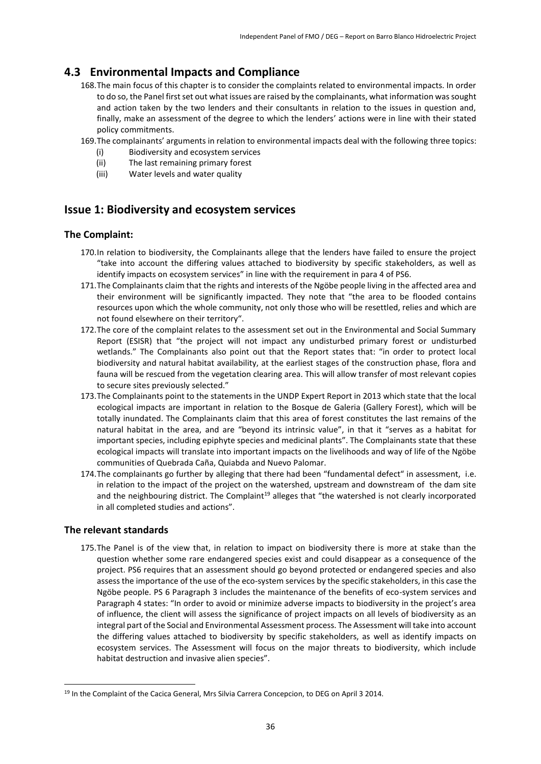### <span id="page-35-0"></span>**4.3 Environmental Impacts and Compliance**

- 168.The main focus of this chapter is to consider the complaints related to environmental impacts. In order to do so, the Panel first set out what issues are raised by the complainants, what information was sought and action taken by the two lenders and their consultants in relation to the issues in question and, finally, make an assessment of the degree to which the lenders' actions were in line with their stated policy commitments.
- 169.The complainants' arguments in relation to environmental impacts deal with the following three topics:
	- (i) Biodiversity and ecosystem services
	- (ii) The last remaining primary forest
	- (iii) Water levels and water quality

### **Issue 1: Biodiversity and ecosystem services**

### **The Complaint:**

- 170.In relation to biodiversity, the Complainants allege that the lenders have failed to ensure the project "take into account the differing values attached to biodiversity by specific stakeholders, as well as identify impacts on ecosystem services" in line with the requirement in para 4 of PS6.
- 171. The Complainants claim that the rights and interests of the Ngöbe people living in the affected area and their environment will be significantly impacted. They note that "the area to be flooded contains resources upon which the whole community, not only those who will be resettled, relies and which are not found elsewhere on their territory".
- 172.The core of the complaint relates to the assessment set out in the Environmental and Social Summary Report (ESISR) that "the project will not impact any undisturbed primary forest or undisturbed wetlands." The Complainants also point out that the Report states that: "in order to protect local biodiversity and natural habitat availability, at the earliest stages of the construction phase, flora and fauna will be rescued from the vegetation clearing area. This will allow transfer of most relevant copies to secure sites previously selected."
- 173.The Complainants point to the statements in the UNDP Expert Report in 2013 which state that the local ecological impacts are important in relation to the Bosque de Galeria (Gallery Forest), which will be totally inundated. The Complainants claim that this area of forest constitutes the last remains of the natural habitat in the area, and are "beyond its intrinsic value", in that it "serves as a habitat for important species, including epiphyte species and medicinal plants". The Complainants state that these ecological impacts will translate into important impacts on the livelihoods and way of life of the Ngöbe communities of Quebrada Caña, Quiabda and Nuevo Palomar.
- 174.The complainants go further by alleging that there had been "fundamental defect" in assessment, i.e. in relation to the impact of the project on the watershed, upstream and downstream of the dam site and the neighbouring district. The Complaint<sup>19</sup> alleges that "the watershed is not clearly incorporated in all completed studies and actions".

### **The relevant standards**

**.** 

175.The Panel is of the view that, in relation to impact on biodiversity there is more at stake than the question whether some rare endangered species exist and could disappear as a consequence of the project. PS6 requires that an assessment should go beyond protected or endangered species and also assess the importance of the use of the eco-system services by the specific stakeholders, in this case the Ngӧbe people. PS 6 Paragraph 3 includes the maintenance of the benefits of eco-system services and Paragraph 4 states: "In order to avoid or minimize adverse impacts to biodiversity in the project's area of influence, the client will assess the significance of project impacts on all levels of biodiversity as an integral part of the Social and Environmental Assessment process. The Assessment will take into account the differing values attached to biodiversity by specific stakeholders, as well as identify impacts on ecosystem services. The Assessment will focus on the major threats to biodiversity, which include habitat destruction and invasive alien species".

<sup>&</sup>lt;sup>19</sup> In the Complaint of the Cacica General, Mrs Silvia Carrera Concepcion, to DEG on April 3 2014.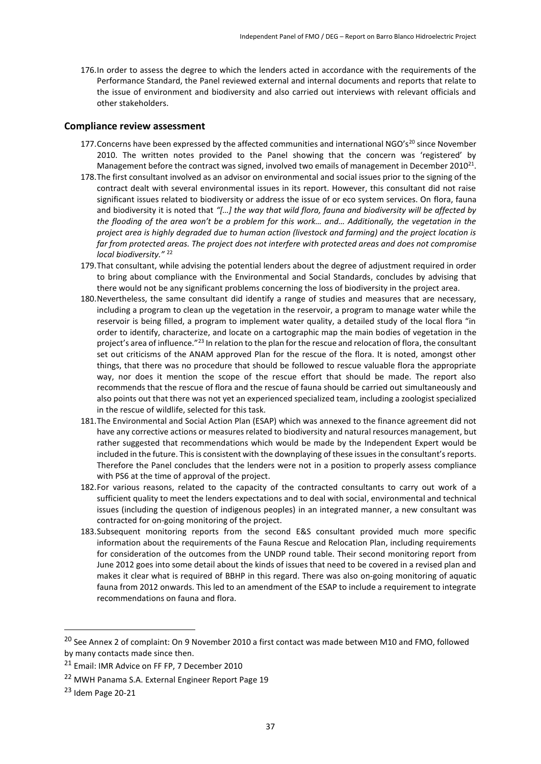176.In order to assess the degree to which the lenders acted in accordance with the requirements of the Performance Standard, the Panel reviewed external and internal documents and reports that relate to the issue of environment and biodiversity and also carried out interviews with relevant officials and other stakeholders.

#### **Compliance review assessment**

- 177. Concerns have been expressed by the affected communities and international NGO's<sup>20</sup> since November 2010. The written notes provided to the Panel showing that the concern was 'registered' by Management before the contract was signed, involved two emails of management in December 2010<sup>21</sup>.
- 178.The first consultant involved as an advisor on environmental and social issues prior to the signing of the contract dealt with several environmental issues in its report. However, this consultant did not raise significant issues related to biodiversity or address the issue of or eco system services. On flora, fauna and biodiversity it is noted that *"[…] the way that wild flora, fauna and biodiversity will be affected by the flooding of the area won't be a problem for this work… and… Additionally, the vegetation in the project area is highly degraded due to human action (livestock and farming) and the project location is far from protected areas. The project does not interfere with protected areas and does not compromise local biodiversity."* <sup>22</sup>
- 179.That consultant, while advising the potential lenders about the degree of adjustment required in order to bring about compliance with the Environmental and Social Standards, concludes by advising that there would not be any significant problems concerning the loss of biodiversity in the project area.
- 180.Nevertheless, the same consultant did identify a range of studies and measures that are necessary, including a program to clean up the vegetation in the reservoir, a program to manage water while the reservoir is being filled, a program to implement water quality, a detailed study of the local flora "in order to identify, characterize, and locate on a cartographic map the main bodies of vegetation in the project's area of influence."<sup>23</sup> In relation to the plan for the rescue and relocation of flora, the consultant set out criticisms of the ANAM approved Plan for the rescue of the flora. It is noted, amongst other things, that there was no procedure that should be followed to rescue valuable flora the appropriate way, nor does it mention the scope of the rescue effort that should be made. The report also recommends that the rescue of flora and the rescue of fauna should be carried out simultaneously and also points out that there was not yet an experienced specialized team, including a zoologist specialized in the rescue of wildlife, selected for this task.
- 181.The Environmental and Social Action Plan (ESAP) which was annexed to the finance agreement did not have any corrective actions or measures related to biodiversity and natural resources management, but rather suggested that recommendations which would be made by the Independent Expert would be included in the future. This is consistent with the downplaying of these issues in the consultant's reports. Therefore the Panel concludes that the lenders were not in a position to properly assess compliance with PS6 at the time of approval of the project.
- 182.For various reasons, related to the capacity of the contracted consultants to carry out work of a sufficient quality to meet the lenders expectations and to deal with social, environmental and technical issues (including the question of indigenous peoples) in an integrated manner, a new consultant was contracted for on-going monitoring of the project.
- 183.Subsequent monitoring reports from the second E&S consultant provided much more specific information about the requirements of the Fauna Rescue and Relocation Plan, including requirements for consideration of the outcomes from the UNDP round table. Their second monitoring report from June 2012 goes into some detail about the kinds of issues that need to be covered in a revised plan and makes it clear what is required of BBHP in this regard. There was also on-going monitoring of aquatic fauna from 2012 onwards. This led to an amendment of the ESAP to include a requirement to integrate recommendations on fauna and flora.

1

<sup>&</sup>lt;sup>20</sup> See Annex 2 of complaint: On 9 November 2010 a first contact was made between M10 and FMO, followed by many contacts made since then.

<sup>21</sup> Email: IMR Advice on FF FP, 7 December 2010

<sup>22</sup> MWH Panama S.A. External Engineer Report Page 19

<sup>23</sup> Idem Page 20-21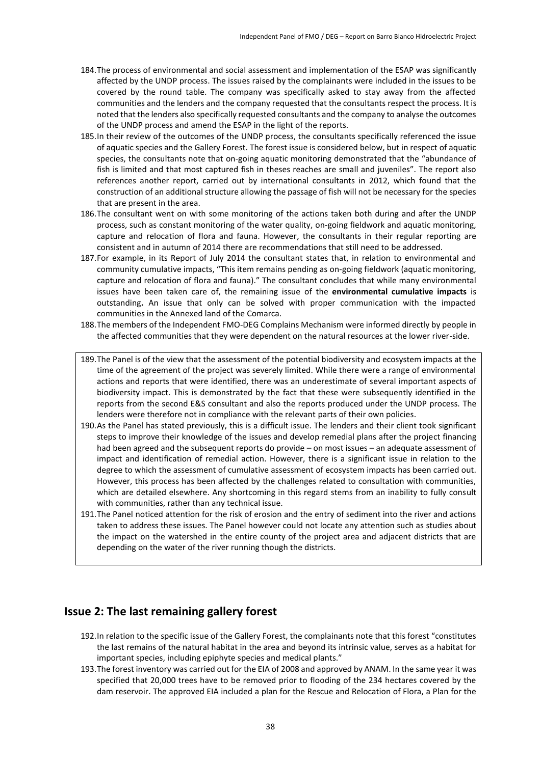- 184.The process of environmental and social assessment and implementation of the ESAP was significantly affected by the UNDP process. The issues raised by the complainants were included in the issues to be covered by the round table. The company was specifically asked to stay away from the affected communities and the lenders and the company requested that the consultants respect the process. It is noted that the lenders also specifically requested consultants and the company to analyse the outcomes of the UNDP process and amend the ESAP in the light of the reports.
- 185.In their review of the outcomes of the UNDP process, the consultants specifically referenced the issue of aquatic species and the Gallery Forest. The forest issue is considered below, but in respect of aquatic species, the consultants note that on-going aquatic monitoring demonstrated that the "abundance of fish is limited and that most captured fish in theses reaches are small and juveniles". The report also references another report, carried out by international consultants in 2012, which found that the construction of an additional structure allowing the passage of fish will not be necessary for the species that are present in the area.
- 186.The consultant went on with some monitoring of the actions taken both during and after the UNDP process, such as constant monitoring of the water quality, on-going fieldwork and aquatic monitoring, capture and relocation of flora and fauna. However, the consultants in their regular reporting are consistent and in autumn of 2014 there are recommendations that still need to be addressed.
- 187.For example, in its Report of July 2014 the consultant states that, in relation to environmental and community cumulative impacts, "This item remains pending as on-going fieldwork (aquatic monitoring, capture and relocation of flora and fauna)." The consultant concludes that while many environmental issues have been taken care of, the remaining issue of the **environmental cumulative impacts** is outstanding**.** An issue that only can be solved with proper communication with the impacted communities in the Annexed land of the Comarca.
- 188.The members of the Independent FMO-DEG Complains Mechanism were informed directly by people in the affected communities that they were dependent on the natural resources at the lower river-side.
- 189.The Panel is of the view that the assessment of the potential biodiversity and ecosystem impacts at the time of the agreement of the project was severely limited. While there were a range of environmental actions and reports that were identified, there was an underestimate of several important aspects of biodiversity impact. This is demonstrated by the fact that these were subsequently identified in the reports from the second E&S consultant and also the reports produced under the UNDP process. The lenders were therefore not in compliance with the relevant parts of their own policies.
- 190.As the Panel has stated previously, this is a difficult issue. The lenders and their client took significant steps to improve their knowledge of the issues and develop remedial plans after the project financing had been agreed and the subsequent reports do provide – on most issues – an adequate assessment of impact and identification of remedial action. However, there is a significant issue in relation to the degree to which the assessment of cumulative assessment of ecosystem impacts has been carried out. However, this process has been affected by the challenges related to consultation with communities, which are detailed elsewhere. Any shortcoming in this regard stems from an inability to fully consult with communities, rather than any technical issue.
- 191.The Panel noticed attention for the risk of erosion and the entry of sediment into the river and actions taken to address these issues. The Panel however could not locate any attention such as studies about the impact on the watershed in the entire county of the project area and adjacent districts that are depending on the water of the river running though the districts.

### **Issue 2: The last remaining gallery forest**

- 192.In relation to the specific issue of the Gallery Forest, the complainants note that this forest "constitutes the last remains of the natural habitat in the area and beyond its intrinsic value, serves as a habitat for important species, including epiphyte species and medical plants."
- 193.The forest inventory was carried out for the EIA of 2008 and approved by ANAM. In the same year it was specified that 20,000 trees have to be removed prior to flooding of the 234 hectares covered by the dam reservoir. The approved EIA included a plan for the Rescue and Relocation of Flora, a Plan for the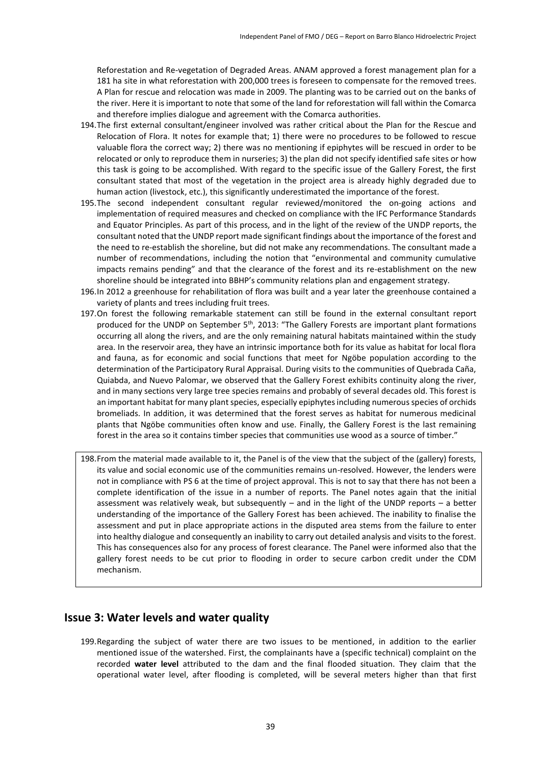Reforestation and Re-vegetation of Degraded Areas. ANAM approved a forest management plan for a 181 ha site in what reforestation with 200,000 trees is foreseen to compensate for the removed trees. A Plan for rescue and relocation was made in 2009. The planting was to be carried out on the banks of the river. Here it is important to note that some of the land for reforestation will fall within the Comarca and therefore implies dialogue and agreement with the Comarca authorities.

- 194.The first external consultant/engineer involved was rather critical about the Plan for the Rescue and Relocation of Flora. It notes for example that; 1) there were no procedures to be followed to rescue valuable flora the correct way; 2) there was no mentioning if epiphytes will be rescued in order to be relocated or only to reproduce them in nurseries; 3) the plan did not specify identified safe sites or how this task is going to be accomplished. With regard to the specific issue of the Gallery Forest, the first consultant stated that most of the vegetation in the project area is already highly degraded due to human action (livestock, etc.), this significantly underestimated the importance of the forest.
- 195.The second independent consultant regular reviewed/monitored the on-going actions and implementation of required measures and checked on compliance with the IFC Performance Standards and Equator Principles. As part of this process, and in the light of the review of the UNDP reports, the consultant noted that the UNDP report made significant findings about the importance of the forest and the need to re-establish the shoreline, but did not make any recommendations. The consultant made a number of recommendations, including the notion that "environmental and community cumulative impacts remains pending" and that the clearance of the forest and its re-establishment on the new shoreline should be integrated into BBHP's community relations plan and engagement strategy.
- 196.In 2012 a greenhouse for rehabilitation of flora was built and a year later the greenhouse contained a variety of plants and trees including fruit trees.
- 197.On forest the following remarkable statement can still be found in the external consultant report produced for the UNDP on September 5<sup>th</sup>, 2013: "The Gallery Forests are important plant formations occurring all along the rivers, and are the only remaining natural habitats maintained within the study area. In the reservoir area, they have an intrinsic importance both for its value as habitat for local flora and fauna, as for economic and social functions that meet for Ngöbe population according to the determination of the Participatory Rural Appraisal. During visits to the communities of Quebrada Caña, Quiabda, and Nuevo Palomar, we observed that the Gallery Forest exhibits continuity along the river, and in many sections very large tree species remains and probably of several decades old. This forest is an important habitat for many plant species, especially epiphytes including numerous species of orchids bromeliads. In addition, it was determined that the forest serves as habitat for numerous medicinal plants that Ngöbe communities often know and use. Finally, the Gallery Forest is the last remaining forest in the area so it contains timber species that communities use wood as a source of timber."
- 198.From the material made available to it, the Panel is of the view that the subject of the (gallery) forests, its value and social economic use of the communities remains un-resolved. However, the lenders were not in compliance with PS 6 at the time of project approval. This is not to say that there has not been a complete identification of the issue in a number of reports. The Panel notes again that the initial assessment was relatively weak, but subsequently – and in the light of the UNDP reports – a better understanding of the importance of the Gallery Forest has been achieved. The inability to finalise the assessment and put in place appropriate actions in the disputed area stems from the failure to enter into healthy dialogue and consequently an inability to carry out detailed analysis and visits to the forest. This has consequences also for any process of forest clearance. The Panel were informed also that the gallery forest needs to be cut prior to flooding in order to secure carbon credit under the CDM mechanism.

### **Issue 3: Water levels and water quality**

199.Regarding the subject of water there are two issues to be mentioned, in addition to the earlier mentioned issue of the watershed. First, the complainants have a (specific technical) complaint on the recorded **water level** attributed to the dam and the final flooded situation. They claim that the operational water level, after flooding is completed, will be several meters higher than that first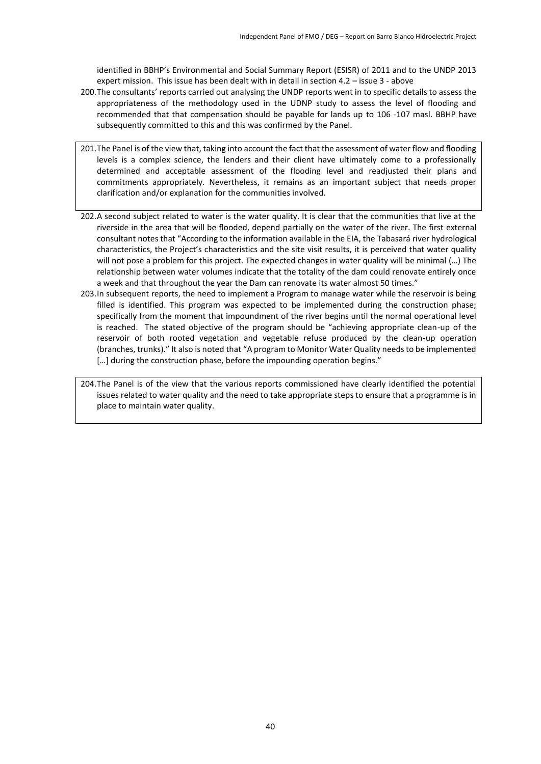identified in BBHP's Environmental and Social Summary Report (ESISR) of 2011 and to the UNDP 2013 expert mission. This issue has been dealt with in detail in section 4.2 – issue 3 - above

- 200.The consultants' reports carried out analysing the UNDP reports went in to specific details to assess the appropriateness of the methodology used in the UDNP study to assess the level of flooding and recommended that that compensation should be payable for lands up to 106 -107 masl. BBHP have subsequently committed to this and this was confirmed by the Panel.
- 201.The Panel is of the view that, taking into account the fact that the assessment of water flow and flooding levels is a complex science, the lenders and their client have ultimately come to a professionally determined and acceptable assessment of the flooding level and readjusted their plans and commitments appropriately. Nevertheless, it remains as an important subject that needs proper clarification and/or explanation for the communities involved.
- 202.A second subject related to water is the water quality. It is clear that the communities that live at the riverside in the area that will be flooded, depend partially on the water of the river. The first external consultant notes that "According to the information available in the EIA, the Tabasará river hydrological characteristics, the Project's characteristics and the site visit results, it is perceived that water quality will not pose a problem for this project. The expected changes in water quality will be minimal (…) The relationship between water volumes indicate that the totality of the dam could renovate entirely once a week and that throughout the year the Dam can renovate its water almost 50 times."
- 203.In subsequent reports, the need to implement a Program to manage water while the reservoir is being filled is identified. This program was expected to be implemented during the construction phase; specifically from the moment that impoundment of the river begins until the normal operational level is reached. The stated objective of the program should be "achieving appropriate clean-up of the reservoir of both rooted vegetation and vegetable refuse produced by the clean-up operation (branches, trunks)." It also is noted that "A program to Monitor Water Quality needs to be implemented [...] during the construction phase, before the impounding operation begins."

<span id="page-39-0"></span>204.The Panel is of the view that the various reports commissioned have clearly identified the potential issues related to water quality and the need to take appropriate steps to ensure that a programme is in place to maintain water quality.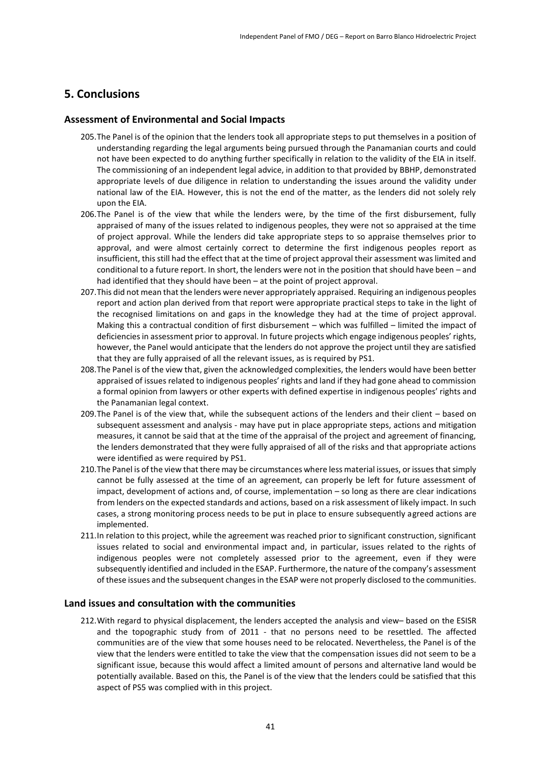### **5. Conclusions**

#### **Assessment of Environmental and Social Impacts**

- 205.The Panel is of the opinion that the lenders took all appropriate steps to put themselves in a position of understanding regarding the legal arguments being pursued through the Panamanian courts and could not have been expected to do anything further specifically in relation to the validity of the EIA in itself. The commissioning of an independent legal advice, in addition to that provided by BBHP, demonstrated appropriate levels of due diligence in relation to understanding the issues around the validity under national law of the EIA. However, this is not the end of the matter, as the lenders did not solely rely upon the EIA.
- 206.The Panel is of the view that while the lenders were, by the time of the first disbursement, fully appraised of many of the issues related to indigenous peoples, they were not so appraised at the time of project approval. While the lenders did take appropriate steps to so appraise themselves prior to approval, and were almost certainly correct to determine the first indigenous peoples report as insufficient, this still had the effect that at the time of project approval their assessment was limited and conditional to a future report. In short, the lenders were not in the position that should have been – and had identified that they should have been – at the point of project approval.
- 207.This did not mean that the lenders were never appropriately appraised. Requiring an indigenous peoples report and action plan derived from that report were appropriate practical steps to take in the light of the recognised limitations on and gaps in the knowledge they had at the time of project approval. Making this a contractual condition of first disbursement – which was fulfilled – limited the impact of deficiencies in assessment prior to approval. In future projects which engage indigenous peoples' rights, however, the Panel would anticipate that the lenders do not approve the project until they are satisfied that they are fully appraised of all the relevant issues, as is required by PS1.
- 208.The Panel is of the view that, given the acknowledged complexities, the lenders would have been better appraised of issues related to indigenous peoples' rights and land if they had gone ahead to commission a formal opinion from lawyers or other experts with defined expertise in indigenous peoples' rights and the Panamanian legal context.
- 209.The Panel is of the view that, while the subsequent actions of the lenders and their client based on subsequent assessment and analysis - may have put in place appropriate steps, actions and mitigation measures, it cannot be said that at the time of the appraisal of the project and agreement of financing, the lenders demonstrated that they were fully appraised of all of the risks and that appropriate actions were identified as were required by PS1.
- 210.The Panel is of the view that there may be circumstances where less material issues, or issues that simply cannot be fully assessed at the time of an agreement, can properly be left for future assessment of impact, development of actions and, of course, implementation – so long as there are clear indications from lenders on the expected standards and actions, based on a risk assessment of likely impact. In such cases, a strong monitoring process needs to be put in place to ensure subsequently agreed actions are implemented.
- 211.In relation to this project, while the agreement was reached prior to significant construction, significant issues related to social and environmental impact and, in particular, issues related to the rights of indigenous peoples were not completely assessed prior to the agreement, even if they were subsequently identified and included in the ESAP. Furthermore, the nature of the company's assessment of these issues and the subsequent changes in the ESAP were not properly disclosed to the communities.

#### **Land issues and consultation with the communities**

212.With regard to physical displacement, the lenders accepted the analysis and view– based on the ESISR and the topographic study from of 2011 - that no persons need to be resettled. The affected communities are of the view that some houses need to be relocated. Nevertheless, the Panel is of the view that the lenders were entitled to take the view that the compensation issues did not seem to be a significant issue, because this would affect a limited amount of persons and alternative land would be potentially available. Based on this, the Panel is of the view that the lenders could be satisfied that this aspect of PS5 was complied with in this project.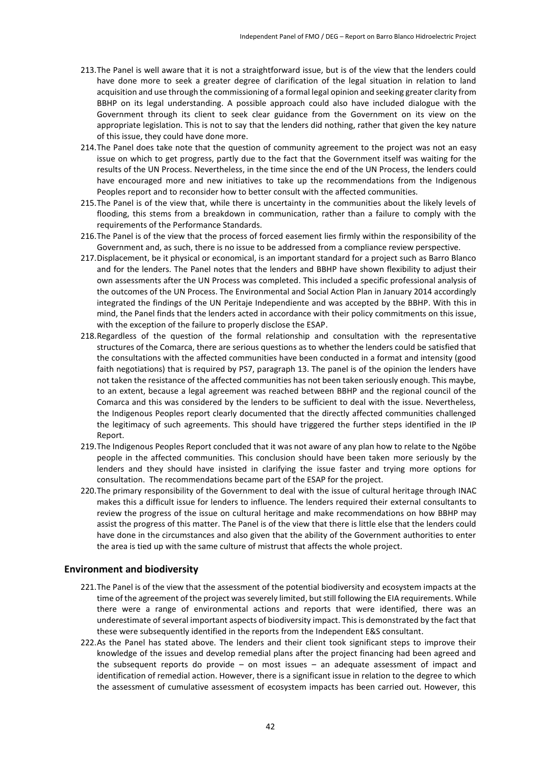- 213.The Panel is well aware that it is not a straightforward issue, but is of the view that the lenders could have done more to seek a greater degree of clarification of the legal situation in relation to land acquisition and use through the commissioning of a formal legal opinion and seeking greater clarity from BBHP on its legal understanding. A possible approach could also have included dialogue with the Government through its client to seek clear guidance from the Government on its view on the appropriate legislation. This is not to say that the lenders did nothing, rather that given the key nature of this issue, they could have done more.
- 214.The Panel does take note that the question of community agreement to the project was not an easy issue on which to get progress, partly due to the fact that the Government itself was waiting for the results of the UN Process. Nevertheless, in the time since the end of the UN Process, the lenders could have encouraged more and new initiatives to take up the recommendations from the Indigenous Peoples report and to reconsider how to better consult with the affected communities.
- 215.The Panel is of the view that, while there is uncertainty in the communities about the likely levels of flooding, this stems from a breakdown in communication, rather than a failure to comply with the requirements of the Performance Standards.
- 216.The Panel is of the view that the process of forced easement lies firmly within the responsibility of the Government and, as such, there is no issue to be addressed from a compliance review perspective.
- 217.Displacement, be it physical or economical, is an important standard for a project such as Barro Blanco and for the lenders. The Panel notes that the lenders and BBHP have shown flexibility to adjust their own assessments after the UN Process was completed. This included a specific professional analysis of the outcomes of the UN Process. The Environmental and Social Action Plan in January 2014 accordingly integrated the findings of the UN Peritaje Independiente and was accepted by the BBHP. With this in mind, the Panel finds that the lenders acted in accordance with their policy commitments on this issue, with the exception of the failure to properly disclose the ESAP.
- 218.Regardless of the question of the formal relationship and consultation with the representative structures of the Comarca, there are serious questions as to whether the lenders could be satisfied that the consultations with the affected communities have been conducted in a format and intensity (good faith negotiations) that is required by PS7, paragraph 13. The panel is of the opinion the lenders have not taken the resistance of the affected communities has not been taken seriously enough. This maybe, to an extent, because a legal agreement was reached between BBHP and the regional council of the Comarca and this was considered by the lenders to be sufficient to deal with the issue. Nevertheless, the Indigenous Peoples report clearly documented that the directly affected communities challenged the legitimacy of such agreements. This should have triggered the further steps identified in the IP Report.
- 219.The Indigenous Peoples Report concluded that it was not aware of any plan how to relate to the Ngöbe people in the affected communities. This conclusion should have been taken more seriously by the lenders and they should have insisted in clarifying the issue faster and trying more options for consultation. The recommendations became part of the ESAP for the project.
- 220.The primary responsibility of the Government to deal with the issue of cultural heritage through INAC makes this a difficult issue for lenders to influence. The lenders required their external consultants to review the progress of the issue on cultural heritage and make recommendations on how BBHP may assist the progress of this matter. The Panel is of the view that there is little else that the lenders could have done in the circumstances and also given that the ability of the Government authorities to enter the area is tied up with the same culture of mistrust that affects the whole project.

#### **Environment and biodiversity**

- 221.The Panel is of the view that the assessment of the potential biodiversity and ecosystem impacts at the time of the agreement of the project was severely limited, but still following the EIA requirements. While there were a range of environmental actions and reports that were identified, there was an underestimate of several important aspects of biodiversity impact. This is demonstrated by the fact that these were subsequently identified in the reports from the Independent E&S consultant.
- 222.As the Panel has stated above. The lenders and their client took significant steps to improve their knowledge of the issues and develop remedial plans after the project financing had been agreed and the subsequent reports do provide – on most issues – an adequate assessment of impact and identification of remedial action. However, there is a significant issue in relation to the degree to which the assessment of cumulative assessment of ecosystem impacts has been carried out. However, this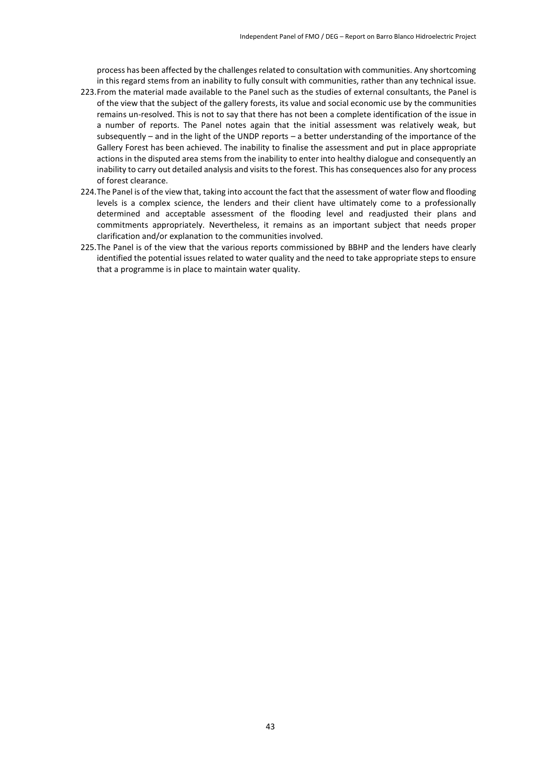process has been affected by the challenges related to consultation with communities. Any shortcoming in this regard stems from an inability to fully consult with communities, rather than any technical issue.

- 223.From the material made available to the Panel such as the studies of external consultants, the Panel is of the view that the subject of the gallery forests, its value and social economic use by the communities remains un-resolved. This is not to say that there has not been a complete identification of the issue in a number of reports. The Panel notes again that the initial assessment was relatively weak, but subsequently – and in the light of the UNDP reports – a better understanding of the importance of the Gallery Forest has been achieved. The inability to finalise the assessment and put in place appropriate actions in the disputed area stems from the inability to enter into healthy dialogue and consequently an inability to carry out detailed analysis and visits to the forest. This has consequences also for any process of forest clearance.
- 224.The Panel is of the view that, taking into account the fact that the assessment of water flow and flooding levels is a complex science, the lenders and their client have ultimately come to a professionally determined and acceptable assessment of the flooding level and readjusted their plans and commitments appropriately. Nevertheless, it remains as an important subject that needs proper clarification and/or explanation to the communities involved.
- 225.The Panel is of the view that the various reports commissioned by BBHP and the lenders have clearly identified the potential issues related to water quality and the need to take appropriate steps to ensure that a programme is in place to maintain water quality.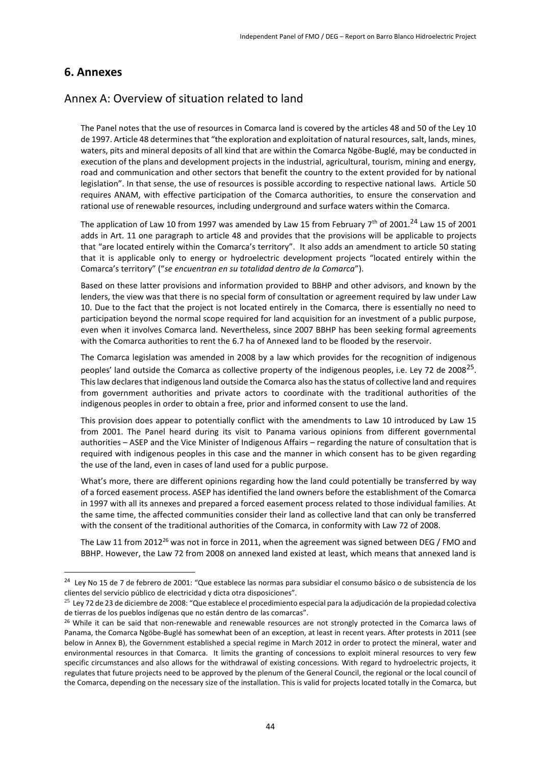### <span id="page-43-0"></span>**6. Annexes**

**.** 

### Annex A: Overview of situation related to land

The Panel notes that the use of resources in Comarca land is covered by the articles 48 and 50 of the Ley 10 de 1997. Article 48 determines that "the exploration and exploitation of natural resources, salt, lands, mines, waters, pits and mineral deposits of all kind that are within the Comarca Ngöbe-Buglé, may be conducted in execution of the plans and development projects in the industrial, agricultural, tourism, mining and energy, road and communication and other sectors that benefit the country to the extent provided for by national legislation". In that sense, the use of resources is possible according to respective national laws. Article 50 requires ANAM, with effective participation of the Comarca authorities, to ensure the conservation and rational use of renewable resources, including underground and surface waters within the Comarca.

The application of Law 10 from 1997 was amended by Law 15 from February  $7<sup>th</sup>$  of 2001.<sup>24</sup> Law 15 of 2001 adds in Art. 11 one paragraph to article 48 and provides that the provisions will be applicable to projects that "are located entirely within the Comarca's territory". It also adds an amendment to article 50 stating that it is applicable only to energy or hydroelectric development projects "located entirely within the Comarca's territory" ("*se encuentran en su totalidad dentro de la Comarca*").

Based on these latter provisions and information provided to BBHP and other advisors, and known by the lenders, the view was that there is no special form of consultation or agreement required by law under Law 10. Due to the fact that the project is not located entirely in the Comarca, there is essentially no need to participation beyond the normal scope required for land acquisition for an investment of a public purpose, even when it involves Comarca land. Nevertheless, since 2007 BBHP has been seeking formal agreements with the Comarca authorities to rent the 6.7 ha of Annexed land to be flooded by the reservoir.

The Comarca legislation was amended in 2008 by a law which provides for the recognition of indigenous peoples' land outside the Comarca as collective property of the indigenous peoples, i.e. Ley 72 de 2008<sup>25</sup>. This law declares that indigenous land outside the Comarca also has the status of collective land and requires from government authorities and private actors to coordinate with the traditional authorities of the indigenous peoples in order to obtain a free, prior and informed consent to use the land.

This provision does appear to potentially conflict with the amendments to Law 10 introduced by Law 15 from 2001. The Panel heard during its visit to Panama various opinions from different governmental authorities – ASEP and the Vice Minister of Indigenous Affairs – regarding the nature of consultation that is required with indigenous peoples in this case and the manner in which consent has to be given regarding the use of the land, even in cases of land used for a public purpose.

What's more, there are different opinions regarding how the land could potentially be transferred by way of a forced easement process. ASEP has identified the land owners before the establishment of the Comarca in 1997 with all its annexes and prepared a forced easement process related to those individual families. At the same time, the affected communities consider their land as collective land that can only be transferred with the consent of the traditional authorities of the Comarca, in conformity with Law 72 of 2008.

The Law 11 from 2012<sup>26</sup> was not in force in 2011, when the agreement was signed between DEG / FMO and BBHP. However, the Law 72 from 2008 on annexed land existed at least, which means that annexed land is

<sup>&</sup>lt;sup>24</sup> Ley No 15 de 7 de febrero de 2001: "Que establece las normas para subsidiar el consumo básico o de subsistencia de los clientes del servicio público de electricidad y dicta otra disposiciones".

<sup>&</sup>lt;sup>25</sup> Ley 72 de 23 de diciembre de 2008: "Que establece el procedimiento especial para la adjudicación de la propiedad colectiva de tierras de los pueblos indígenas que no están dentro de las comarcas".

 $26$  While it can be said that non-renewable and renewable resources are not strongly protected in the Comarca laws of Panama, the Comarca Ngöbe-Buglé has somewhat been of an exception, at least in recent years. After protests in 2011 (see below in Annex B), the Government established a special regime in March 2012 in order to protect the mineral, water and environmental resources in that Comarca. It limits the granting of concessions to exploit mineral resources to very few specific circumstances and also allows for the withdrawal of existing concessions. With regard to hydroelectric projects, it regulates that future projects need to be approved by the plenum of the General Council, the regional or the local council of the Comarca, depending on the necessary size of the installation. This is valid for projects located totally in the Comarca, but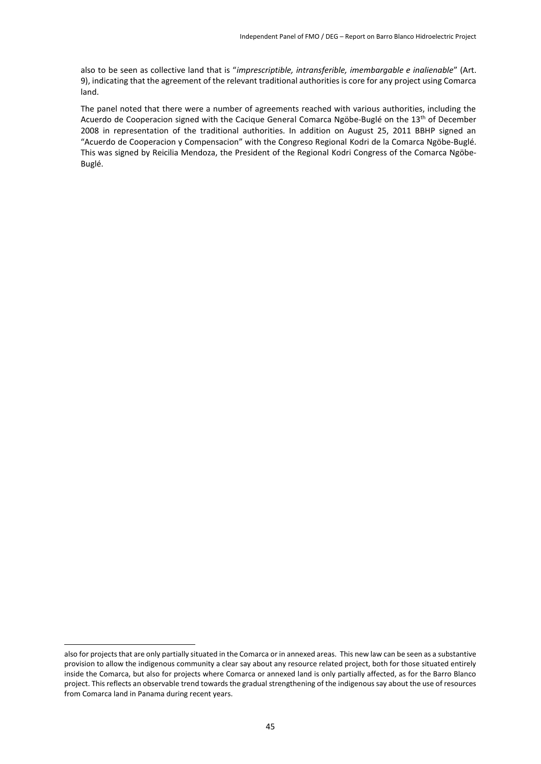also to be seen as collective land that is "*imprescriptible, intransferible, imembargable e inalienable*" (Art. 9), indicating that the agreement of the relevant traditional authorities is core for any project using Comarca land.

The panel noted that there were a number of agreements reached with various authorities, including the Acuerdo de Cooperacion signed with the Cacique General Comarca Ngöbe-Buglé on the 13<sup>th</sup> of December 2008 in representation of the traditional authorities. In addition on August 25, 2011 BBHP signed an "Acuerdo de Cooperacion y Compensacion" with the Congreso Regional Kodri de la Comarca Ngöbe-Buglé. This was signed by Reicilia Mendoza, the President of the Regional Kodri Congress of the Comarca Ngöbe-Buglé.

1

also for projects that are only partially situated in the Comarca or in annexed areas. This new law can be seen as a substantive provision to allow the indigenous community a clear say about any resource related project, both for those situated entirely inside the Comarca, but also for projects where Comarca or annexed land is only partially affected, as for the Barro Blanco project. This reflects an observable trend towards the gradual strengthening of the indigenous say about the use of resources from Comarca land in Panama during recent years.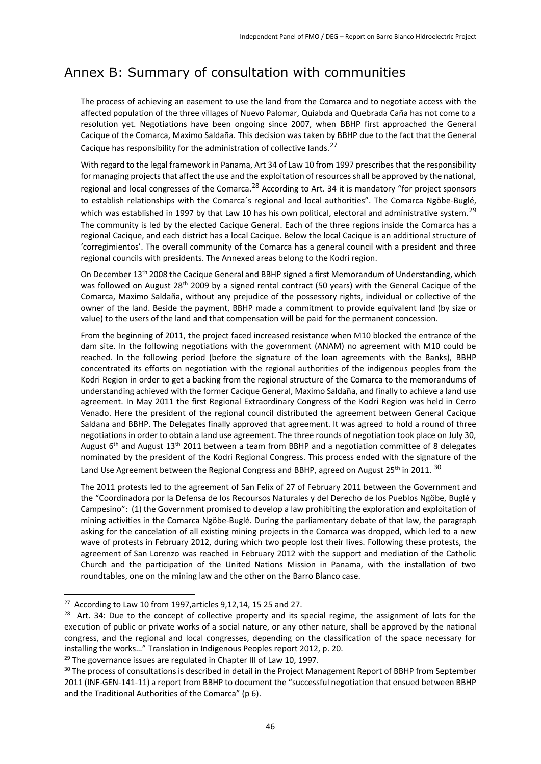# Annex B: Summary of consultation with communities

The process of achieving an easement to use the land from the Comarca and to negotiate access with the affected population of the three villages of Nuevo Palomar, Quiabda and Quebrada Caña has not come to a resolution yet. Negotiations have been ongoing since 2007, when BBHP first approached the General Cacique of the Comarca, Maximo Saldaña. This decision was taken by BBHP due to the fact that the General Cacique has responsibility for the administration of collective lands.  $27$ 

With regard to the legal framework in Panama, Art 34 of Law 10 from 1997 prescribes that the responsibility for managing projects that affect the use and the exploitation of resources shall be approved by the national, regional and local congresses of the Comarca.<sup>28</sup> According to Art. 34 it is mandatory "for project sponsors to establish relationships with the Comarca´s regional and local authorities". The Comarca Ngöbe-Buglé, which was established in 1997 by that Law 10 has his own political, electoral and administrative system.<sup>29</sup> The community is led by the elected Cacique General. Each of the three regions inside the Comarca has a regional Cacique, and each district has a local Cacique. Below the local Cacique is an additional structure of 'corregimientos'. The overall community of the Comarca has a general council with a president and three regional councils with presidents. The Annexed areas belong to the Kodri region.

On December 13th 2008 the Cacique General and BBHP signed a first Memorandum of Understanding, which was followed on August 28<sup>th</sup> 2009 by a signed rental contract (50 years) with the General Cacique of the Comarca, Maximo Saldaña, without any prejudice of the possessory rights, individual or collective of the owner of the land. Beside the payment, BBHP made a commitment to provide equivalent land (by size or value) to the users of the land and that compensation will be paid for the permanent concession.

From the beginning of 2011, the project faced increased resistance when M10 blocked the entrance of the dam site. In the following negotiations with the government (ANAM) no agreement with M10 could be reached. In the following period (before the signature of the loan agreements with the Banks), BBHP concentrated its efforts on negotiation with the regional authorities of the indigenous peoples from the Kodri Region in order to get a backing from the regional structure of the Comarca to the memorandums of understanding achieved with the former Cacique General, Maximo Saldaña, and finally to achieve a land use agreement. In May 2011 the first Regional Extraordinary Congress of the Kodri Region was held in Cerro Venado. Here the president of the regional council distributed the agreement between General Cacique Saldana and BBHP. The Delegates finally approved that agreement. It was agreed to hold a round of three negotiations in order to obtain a land use agreement. The three rounds of negotiation took place on July 30, August  $6<sup>th</sup>$  and August 13<sup>th</sup> 2011 between a team from BBHP and a negotiation committee of 8 delegates nominated by the president of the Kodri Regional Congress. This process ended with the signature of the Land Use Agreement between the Regional Congress and BBHP, agreed on August 25<sup>th</sup> in 2011. <sup>30</sup>

The 2011 protests led to the agreement of San Felix of 27 of February 2011 between the Government and the "Coordinadora por la Defensa de los Recoursos Naturales y del Derecho de los Pueblos Ngöbe, Buglé y Campesino": (1) the Government promised to develop a law prohibiting the exploration and exploitation of mining activities in the Comarca Ngöbe-Buglé. During the parliamentary debate of that law, the paragraph asking for the cancelation of all existing mining projects in the Comarca was dropped, which led to a new wave of protests in February 2012, during which two people lost their lives. Following these protests, the agreement of San Lorenzo was reached in February 2012 with the support and mediation of the Catholic Church and the participation of the United Nations Mission in Panama, with the installation of two roundtables, one on the mining law and the other on the Barro Blanco case.

**.** 

 $27$  According to Law 10 from 1997, articles 9,12,14, 15 25 and 27.

<sup>&</sup>lt;sup>28</sup> Art. 34: Due to the concept of collective property and its special regime, the assignment of lots for the execution of public or private works of a social nature, or any other nature, shall be approved by the national congress, and the regional and local congresses, depending on the classification of the space necessary for installing the works…" Translation in Indigenous Peoples report 2012, p. 20.

<sup>&</sup>lt;sup>29</sup> The governance issues are regulated in Chapter III of Law 10, 1997.

<sup>&</sup>lt;sup>30</sup> The process of consultations is described in detail in the Project Management Report of BBHP from September 2011 (INF-GEN-141-11) a report from BBHP to document the "successful negotiation that ensued between BBHP and the Traditional Authorities of the Comarca" (p 6).